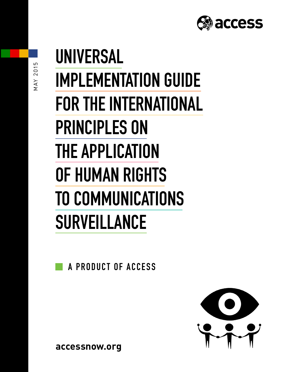

# **UNIVERSAL IMPLEMENTATION GUIDE FOR THE INTERNATIONAL PRINCIPLES ON THE APPLICATION OF HUMAN RIGHTS TO COMMUNICATIONS SURVEILLANCE**

**A PRODUCT OF ACCESS**



**accessnow.org**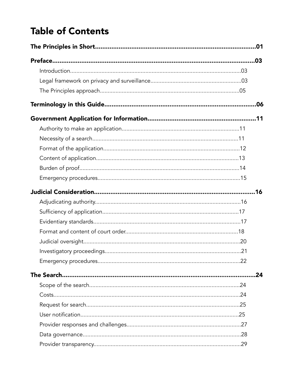# **Table of Contents**

| .24 |
|-----|
|     |
|     |
|     |
|     |
|     |
|     |
|     |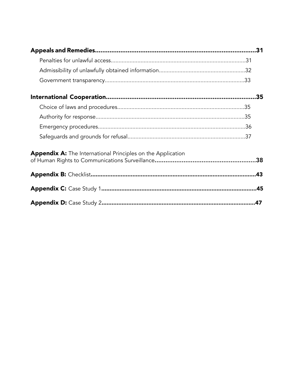| Appendix A: The International Principles on the Application |     |
|-------------------------------------------------------------|-----|
|                                                             | .43 |
|                                                             |     |
|                                                             |     |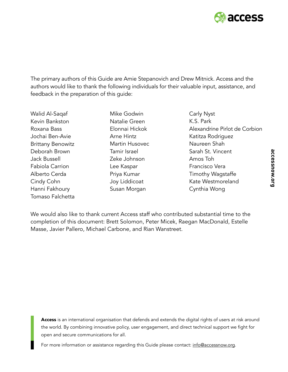

The primary authors of this Guide are Amie Stepanovich and Drew Mitnick. Access and the authors would like to thank the following individuals for their valuable input, assistance, and feedback in the preparation of this guide:

Walid Al-Saqaf Kevin Bankston Roxana Bass Jochai Ben-Avie Brittany Benowitz Deborah Brown Jack Bussell Fabiola Carrion Alberto Cerda Cindy Cohn Hanni Fakhoury Tomaso Falchetta

Mike Godwin Natalie Green Elonnai Hickok Arne Hintz Martin Husovec Tamir Israel Zeke Johnson Lee Kaspar Priya Kumar Joy Liddicoat Susan Morgan

Carly Nyst K.S. Park Alexandrine Pirlot de Corbion Katitza Rodriguez Naureen Shah Sarah St. Vincent Amos Toh Francisco Vera Timothy Wagstaffe Kate Westmoreland Cynthia Wong

We would also like to thank current Access staff who contributed substantial time to the completion of this document: Brett Solomon, Peter Micek, Raegan MacDonald, Estelle Masse, Javier Pallero, Michael Carbone, and Rian Wanstreet.

[Access](http://www.accessnow.org) is an international organisation that defends and extends the digital rights of users at risk around the world. By combining innovative policy, user engagement, and direct technical support we fight for open and secure communications for all.

For more information or assistance regarding this Guide please contact: info@accessnow.org.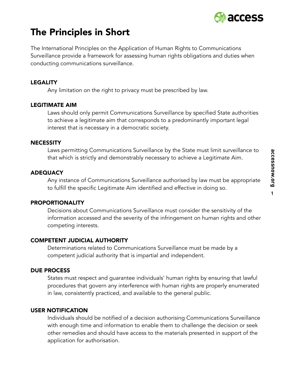

# The Principles in Short

The International Principles on the Application of Human Rights to Communications Surveillance provide a framework for assessing human rights obligations and duties when conducting communications surveillance.

#### LEGALITY

Any limitation on the right to privacy must be prescribed by law.

#### LEGITIMATE AIM

Laws should only permit Communications Surveillance by specified State authorities to achieve a legitimate aim that corresponds to a predominantly important legal interest that is necessary in a democratic society.

#### **NECESSITY**

Laws permitting Communications Surveillance by the State must limit surveillance to that which is strictly and demonstrably necessary to achieve a Legitimate Aim.

#### **ADEQUACY**

Any instance of Communications Surveillance authorised by law must be appropriate to fulfill the specific Legitimate Aim identified and effective in doing so.

#### PROPORTIONALITY

Decisions about Communications Surveillance must consider the sensitivity of the information accessed and the severity of the infringement on human rights and other competing interests.

#### COMPETENT JUDICIAL AUTHORITY

Determinations related to Communications Surveillance must be made by a competent judicial authority that is impartial and independent.

#### DUE PROCESS

States must respect and guarantee individuals' human rights by ensuring that lawful procedures that govern any interference with human rights are properly enumerated in law, consistently practiced, and available to the general public.

#### USER NOTIFICATION

Individuals should be notified of a decision authorising Communications Surveillance with enough time and information to enable them to challenge the decision or seek other remedies and should have access to the materials presented in support of the application for authorisation.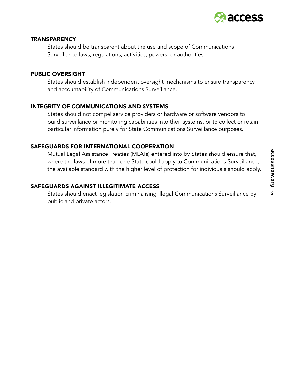

#### **TRANSPARENCY**

States should be transparent about the use and scope of Communications Surveillance laws, regulations, activities, powers, or authorities.

#### PUBLIC OVERSIGHT

States should establish independent oversight mechanisms to ensure transparency and accountability of Communications Surveillance.

#### INTEGRITY OF COMMUNICATIONS AND SYSTEMS

States should not compel service providers or hardware or software vendors to build surveillance or monitoring capabilities into their systems, or to collect or retain particular information purely for State Communications Surveillance purposes.

#### SAFEGUARDS FOR INTERNATIONAL COOPERATION

Mutual Legal Assistance Treaties (MLATs) entered into by States should ensure that, where the laws of more than one State could apply to Communications Surveillance, the available standard with the higher level of protection for individuals should apply.

#### SAFEGUARDS AGAINST ILLEGITIMATE ACCESS

States should enact legislation criminalising illegal Communications Surveillance by public and private actors.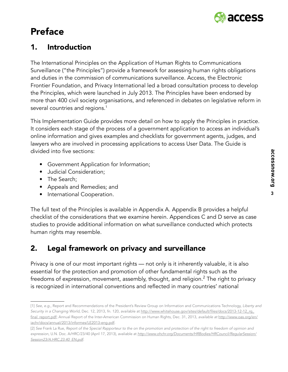

# Preface

# 1. Introduction

The International Principles on the Application of Human Rights to Communications Surveillance ("the Principles") provide a framework for assessing human rights obligations and duties in the commission of communications surveillance. Access, the Electronic Frontier Foundation, and Privacy International led a broad consultation process to develop the Principles, which were launched in July 2013. The Principles have been endorsed by more than 400 civil society organisations, and referenced in debates on legislative reform in several countries and regions.<sup>1</sup>

This Implementation Guide provides more detail on how to apply the Principles in practice. It considers each stage of the process of a government application to access an individual's online information and gives examples and checklists for government agents, judges, and lawyers who are involved in processing applications to access User Data. The Guide is divided into five sections:

- Government Application for Information;
- Judicial Consideration;
- The Search;
- Appeals and Remedies; and
- International Cooperation.

The full text of the Principles is available in Appendix A. Appendix B provides a helpful checklist of the considerations that we examine herein. Appendices C and D serve as case studies to provide additional information on what surveillance conducted which protects human rights may resemble.

# 2. Legal framework on privacy and surveillance

Privacy is one of our most important rights — not only is it inherently valuable, it is also essential for the protection and promotion of other fundamental rights such as the freedoms of expression, movement, assembly, thought, and religion. $^2$  The right to privacy is recognized in international conventions and reflected in many countries' national

<sup>[1]</sup> *See, e.g.*, Report and Recommendations of the President's Review Group on Information and Communications Technology, *Liberty and Security in a Changing World,* Dec. 12, 2013, fn. 120, available at [http://www.whitehouse.gov/sites/default/files/docs/2013-12-12\\_rg\\_](http://www.whitehouse.gov/sites/default/files/docs/2013-12-12_rg_final_report.pdf) [final\\_report.pdf](http://www.whitehouse.gov/sites/default/files/docs/2013-12-12_rg_final_report.pdf); Annual Report of the Inter-American Commission on Human Rights, Dec. 31, 2013, *available at* [http://www.oas.org/en/](http://www.oas.org/en/iachr/docs/annual/2013/informes/LE2013-eng.pdf) [iachr/docs/annual/2013/informes/LE2013-eng.pdf](http://www.oas.org/en/iachr/docs/annual/2013/informes/LE2013-eng.pdf).

<sup>[2]</sup> *See* Frank La Rue, *Report of the Special Rapporteur to the on the promotion and protection of the right to freedom of opinion and expression,* U.N. Doc. A/HRC/23/40 (April 17, 2013), avaliable at *[http://www.ohchr.org/Documents/HRBodies/HRCouncil/RegularSession/](http://www.ohchr.org/Documents/HRBodies/HRCouncil/RegularSession/Session23/A.HRC.23.40_EN.pdf) [Session23/A.HRC.23.40\\_EN.pdf.](http://www.ohchr.org/Documents/HRBodies/HRCouncil/RegularSession/Session23/A.HRC.23.40_EN.pdf)*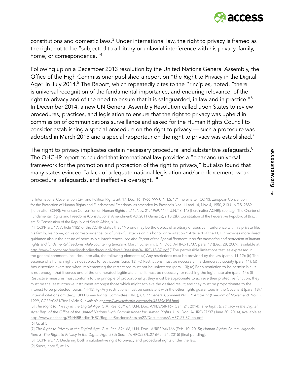

constitutions and domestic laws. $3$  Under international law, the right to privacy is framed as the right not to be "subjected to arbitrary or unlawful interference with his privacy, family, home, or correspondence."<sup>4</sup>

Following up on a December 2013 resolution by the United Nations General Assembly, the Office of the High Commissioner published a report on "the Right to Privacy in the Digital Age" in July 2014.<sup>5</sup> The Report, which repeatedly cites to the Principles, noted, "there is universal recognition of the fundamental importance, and enduring relevance, of the right to privacy and of the need to ensure that it is safeguarded, in law and in practice."6 In December 2014, a new UN General Assembly Resolution called upon States to review procedures, practices, and legislation to ensure that the right to privacy was upheld in commission of communications surveillance and asked for the Human Rights Council to consider establishing a special procedure on the right to privacy — such a procedure was adopted in March 2015 and a special rapporteur on the right to privacy was established.<sup>7</sup>

The right to privacy implicates certain necessary procedural and substantive safequards. $8$ The OHCHR report concluded that international law provides a "clear and universal framework for the promotion and protection of the right to privacy," but also found that many states evinced "a lack of adequate national legislation and/or enforcement, weak procedural safeguards, and ineffective oversight."<sup>9</sup>

<sup>[3]</sup> International Covenant on Civil and Political Rights art. 17, Dec. 16, 1966, 999 U.N.T.S. 171 [hereinafter ICCPR]; European Convention for the Protection of Human Rights and Fundamental Freedoms, as amended by Protocols Nos. 11 and 14, Nov. 4, 1950, 213 U.N.T.S. 2889 [hereinafter ECHR]; American Convention on Human Rights art.11, Nov. 21, 1969, 1144 U.N.T.S. 143 [hereinafter ACHR]; *see, e.g*., The Charter of Fundamental Rights and Freedoms (Constitutional Amendment) Act 2011 (Jamaica), s.13(3)(k); Constitution of the Federative Republic of Brazil, art. 5; Constitution of the Republic of South Africa, s.14.

<sup>[4]</sup> ICCPR art. 17. Article 11(2) of the ACHR states that "No one may be the object of arbitrary or abusive interference with his private life, his family, his home, or his correspondence, or of unlawful attacks on his honor or reputation." Article 8 of the ECHR provides more direct guidance about the nature of permissible interferences; *see also Report of the Special Rapporteur on the promotion and protection of human rights and fundamental freedoms while countering terrorism*, Martin Scheinin, U.N. Doc. A/HRC/13/37, para. 17 (Dec. 28, 2009), available at <http://www2.ohchr.org/english/bodies/hrcouncil/docs/13session/A-HRC-13-37.pdf> ("The permissible limitations test, as expressed in the general comment, includes, inter alia, the following elements: (a) Any restrictions must be provided by the law (paras. 11-12); (b) The essence of a human right is not subject to restrictions (para. 13); (c) Restrictions must be necessary in a democratic society (para. 11); (d) Any discretion exercised when implementing the restrictions must not be unfettered (para. 13); (e) For a restriction to be permissible, it is not enough that it serves one of the enumerated legitimate aims; it must be necessary for reaching the legitimate aim (para. 14); (f) Restrictive measures must conform to the principle of proportionality; they must be appropriate to achieve their protective function; they must be the least intrusive instrument amongst those which might achieve the desired result; and they must be proportionate to the interest to be protected (paras. 14-15); (g) Any restrictions must be consistent with the other rights guaranteed in the Covenant (para. 18)." (internal citations omitted)); UN Human Rights Committee (HRC), *CCPR General Comment No. 27: Article 12 (Freedom of Movement},* Nov. 2, 1999, CCPR/C/21/Rev.1/Add.9, *available at <http://www.refworld.org/docid/45139c394.html>.*

<sup>[5]</sup> *The Right to Privacy in the Digital Age*, G.A. Res. 68/167, U.N. Doc. A/RES/68/167 (Jan. 21, 2014); *The Right to Privacy in the Digital*  Age: Rep. of the Office of the United Nations High Commissioner for Human Rights, U.N. Doc. A/HRC/27/37 (June 30, 2014), available at [http://www.ohchr.org/EN/HRBodies/HRC/RegularSessions/Session27/Documents/A.HRC.27.37\\_en.pdf](http://www.ohchr.org/EN/HRBodies/HRC/RegularSessions/Session27/Documents/A.HRC.27.37_en.pdf).

<sup>[6]</sup> *Id*. at 5.

<sup>[7]</sup> *The Right to Privacy in the Digital Age*, G.A. Res. 69/166, U.N. Doc. A/RES/66/166 (Feb. 10, 2015); *Human Rights Council Agenda Item 3, The Right to Privacy in the Digital Age*, 28th Sess., A/HRC/28/L.27 (Mar. 24, 2015) [final pending].

<sup>[8]</sup> ICCPR art. 17, Declaring both a substantive right to privacy and procedural rights under the law.

<sup>[9]</sup> *Supra*, note 5, at 16.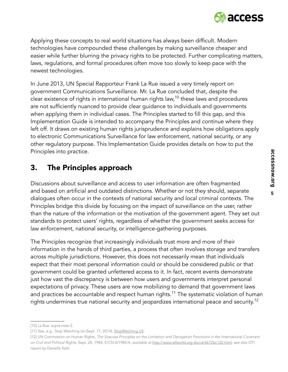

Applying these concepts to real world situations has always been difficult. Modern technologies have compounded these challenges by making surveillance cheaper and easier while further blurring the privacy rights to be protected. Further complicating matters, laws, regulations, and formal procedures often move too slowly to keep pace with the newest technologies.

In June 2013, UN Special Rapporteur Frank La Rue issued a very timely report on government Communications Surveillance. Mr. La Rue concluded that, despite the clear existence of rights in international human rights law,<sup>10</sup> these laws and procedures are not sufficiently nuanced to provide clear guidance to individuals and governments when applying them in individual cases. The Principles started to fill this gap, and this Implementation Guide is intended to accompany the Principles and continue where they left off. It draws on existing human rights jurisprudence and explains how obligations apply to electronic Communications Surveillance for law enforcement, national security, or any other regulatory purpose. This Implementation Guide provides details on how to put the Principles into practice.

# 3. The Principles approach

Discussions about surveillance and access to user information are often fragmented and based on artificial and outdated distinctions. Whether or not they should, separate dialogues often occur in the contexts of national security and local criminal contexts. The Principles bridge this divide by focusing on the impact of surveillance on the user, rather than the nature of the information or the motivation of the government agent. They set out standards to protect users' rights, regardless of whether the government seeks access for law enforcement, national security, or intelligence-gathering purposes.

The Principles recognize that increasingly individuals trust more and more of their information in the hands of third parties, a process that often involves storage and transfers across multiple jurisdictions. However, this does not necessarily mean that individuals expect that their most personal information could or should be considered public or that government could be granted unfettered access to it. In fact, recent events demonstrate just how vast the discrepancy is between how users and governments interpret personal expectations of privacy. These users are now mobilizing to demand that government laws and practices be accountable and respect human rights.<sup>11</sup> The systematic violation of human rights undermines true national security and jeopardizes international peace and security.<sup>12</sup>

<sup>[10]</sup> La Rue, supra note 2.

<sup>[11]</sup> *See, e.g.*, Stop Watching Us (Sept. 17, 2014), [StopWatching.US](http://StopWatching.US).

<sup>[12]</sup> UN Commission on Human Rights, *The Siracusa Principles on the Limitation and Derogation Provisions in the International Covenant on Civil and Political Rights*, Sept. 28, 1984, E/CN.4/1985/4, *available at* <http://www.refworld.org docid/4672bc122.html>; see also OTI report by Danielle Kehl.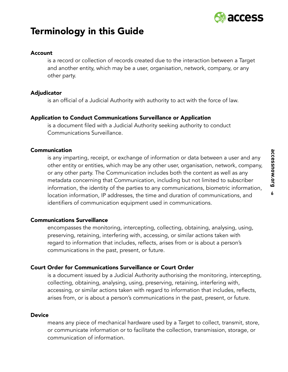

# Terminology in this Guide

#### Account

is a record or collection of records created due to the interaction between a Target and another entity, which may be a user, organisation, network, company, or any other party.

#### Adjudicator

is an official of a Judicial Authority with authority to act with the force of law.

#### Application to Conduct Communications Surveillance or Application

is a document filed with a Judicial Authority seeking authority to conduct Communications Surveillance.

#### Communication

is any imparting, receipt, or exchange of information or data between a user and any other entity or entities, which may be any other user, organisation, network, company, or any other party. The Communication includes both the content as well as any metadata concerning that Communication, including but not limited to subscriber information, the identity of the parties to any communications, biometric information, location information, IP addresses, the time and duration of communications, and identifiers of communication equipment used in communications.

#### Communications Surveillance

encompasses the monitoring, intercepting, collecting, obtaining, analysing, using, preserving, retaining, interfering with, accessing, or similar actions taken with regard to information that includes, reflects, arises from or is about a person's communications in the past, present, or future.

#### Court Order for Communications Surveillance or Court Order

is a document issued by a Judicial Authority authorising the monitoring, intercepting, collecting, obtaining, analysing, using, preserving, retaining, interfering with, accessing, or similar actions taken with regard to information that includes, reflects, arises from, or is about a person's communications in the past, present, or future.

#### **Device**

means any piece of mechanical hardware used by a Target to collect, transmit, store, or communicate information or to facilitate the collection, transmission, storage, or communication of information.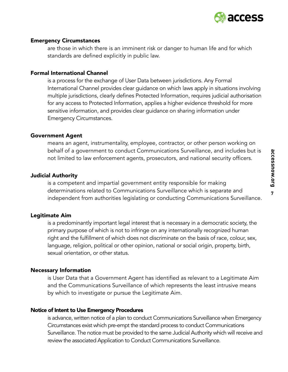

#### Emergency Circumstances

are those in which there is an imminent risk or danger to human life and for which standards are defined explicitly in public law.

#### Formal International Channel

is a process for the exchange of User Data between jurisdictions. Any Formal International Channel provides clear guidance on which laws apply in situations involving multiple jurisdictions, clearly defines Protected Information, requires judicial authorisation for any access to Protected Information, applies a higher evidence threshold for more sensitive information, and provides clear guidance on sharing information under Emergency Circumstances.

#### Government Agent

means an agent, instrumentality, employee, contractor, or other person working on behalf of a government to conduct Communications Surveillance, and includes but is not limited to law enforcement agents, prosecutors, and national security officers.

#### Judicial Authority

is a competent and impartial government entity responsible for making determinations related to Communications Surveillance which is separate and independent from authorities legislating or conducting Communications Surveillance.

#### Legitimate Aim

is a predominantly important legal interest that is necessary in a democratic society, the primary purpose of which is not to infringe on any internationally recognized human right and the fulfillment of which does not discriminate on the basis of race, colour, sex, language, religion, political or other opinion, national or social origin, property, birth, sexual orientation, or other status.

#### Necessary Information

is User Data that a Government Agent has identified as relevant to a Legitimate Aim and the Communications Surveillance of which represents the least intrusive means by which to investigate or pursue the Legitimate Aim.

#### Notice of Intent to Use Emergency Procedures

is advance, written notice of a plan to conduct Communications Surveillance when Emergency Circumstances exist which pre-empt the standard process to conduct Communications Surveillance. The notice must be provided to the same Judicial Authority which will receive and review the associated Application to Conduct Communications Surveillance.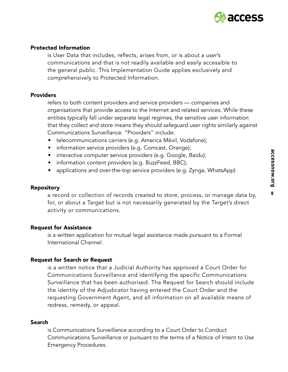

#### Protected Information

is User Data that includes, reflects, arises from, or is about a user's communications and that is not readily available and easily accessible to the general public. This Implementation Guide applies exclusively and comprehensively to Protected Information.

#### **Providers**

refers to both content providers and service providers — companies and organisations that provide access to the Internet and related services. While these entities typically fall under separate legal regimes, the sensitive user information that they collect and store means they should safeguard user rights similarly against Communications Surveillance. "Providers" include:

- telecommunications carriers (e.g. America M6vil, Vodafone);
- information service providers (e.g. Comcast, Orange);
- interactive computer service providers (e.g. Google, Baidu);
- information content providers (e.g. BuzzFeed, BBC);
- applications and over-the-top service providers (e.g. Zynga, WhatsApp)

#### **Repository**

a record or collection of records created to store, process, or manage data by, for, or about a Target but is not necessarily generated by the Target's direct activity or communications.

#### Request for Assistance

is a written application for mutual legal assistance made pursuant to a Formal International Channel.

#### Request for Search or Request

is a written notice that a Judicial Authority has approved a Court Order for Communications Surveillance and identifying the specific Communications Surveillance that has been authorised. The Request for Search should include the identity of the Adjudicator having entered the Court Order and the requesting Government Agent, and all information on all available means of redress, remedy, or appeal.

#### Search

is Communications Surveillance according to a Court Order to Conduct Communications Surveillance or pursuant to the terms of a Notice of Intent to Use Emergency Procedures.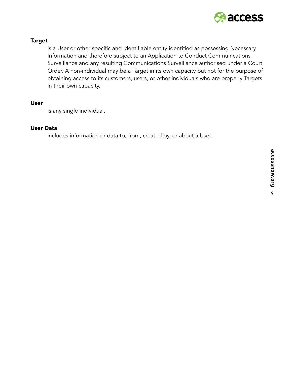

#### Target

is a User or other specific and identifiable entity identified as possessing Necessary Information and therefore subject to an Application to Conduct Communications Surveillance and any resulting Communications Surveillance authorised under a Court Order. A non-individual may be a Target in its own capacity but not for the purpose of obtaining access to its customers, users, or other individuals who are properly Targets in their own capacity.

#### User

is any single individual.

#### User Data

includes information or data to, from, created by, or about a User.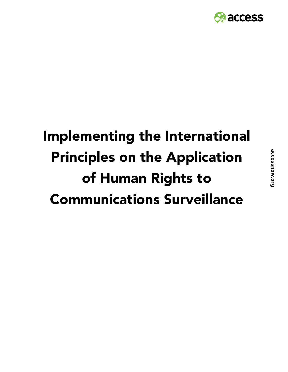

# Implementing the International Principles on the Application of Human Rights to Communications Surveillance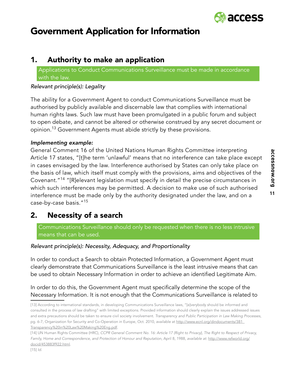

# Government Application for Information

# 1. Authority to make an application

Applications to Conduct Communications Surveillance must be made in accordance with the law.

#### *Relevant principle(s): Legality*

The ability for a Government Agent to conduct Communications Surveillance must be authorised by publicly available and discernable law that complies with international human rights laws. Such law must have been promulgated in a public forum and subject to open debate, and cannot be altered or otherwise construed by any secret document or opinion.<sup>13</sup> Government Agents must abide strictly by these provisions.

#### *Implementing example:*

General Comment 16 of the United Nations Human Rights Committee interpreting Article 17 states, "[t]he term 'unlawful' means that no interference can take place except in cases envisaged by the law. Interference authorised by States can only take place on the basis of law, which itself must comply with the provisions, aims and objectives of the Covenant."14 "[R]elevant legislation must specify in detail the precise circumstances in which such interferences may be permitted. A decision to make use of such authorised interference must be made only by the authority designated under the law, and on a case-by-case basis."<sup>15</sup>

# 2. Necessity of a search

Communications Surveillance should only be requested when there is no less intrusive means that can be used.

#### *Relevant principle(s): Necessity, Adequacy, and Proportionality*

In order to conduct a Search to obtain Protected Information, a Government Agent must clearly demonstrate that Communications Surveillance is the least intrusive means that can be used to obtain Necessary Information in order to achieve an identified Legitimate Aim.

In order to do this, the Government Agent must specifically determine the scope of the Necessary Information. It is not enough that the Communications Surveillance is related to

<sup>[13]</sup> According to international standards, in developing Communications Surveillance laws, "[e]verybody should be informed and consulted in the process of law drafting" with limited exceptions. Provided information should clearly explain the issues addressed issues and extra precautions should be taken to ensure civil society involvement. *Transparency and Public Participation in Law Making Processes*, pg. 6-7, Organization for Security and Co-Operation in Europe, Oct. 2010, available at [http://www.ecnl.org/dindocuments/381\\_](http://www.ecnl.org/dindocuments/381_Transparency%20in%20Law%20Making%20Eng.pdf) [Transparency%20in%20Law%20Making%20Eng.pdf](http://www.ecnl.org/dindocuments/381_Transparency%20in%20Law%20Making%20Eng.pdf).

<sup>[14]</sup> UN Human Rights Committee (HRC), *CCPR General Comment No. 16: Article 17 (Right to Privacy}, The Right to Respect of Privacy, Family, Home and Correspondence, and Protection of Honour and Reputation*, April 8, 1988, *available at*: [http://www.refworld.org/](http://www.refworld.org/docid/453883f922.html) [docid/453883f922.html.](http://www.refworld.org/docid/453883f922.html)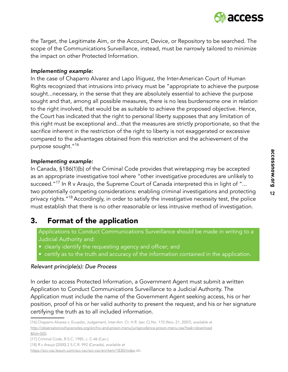

the Target, the Legitimate Aim, or the Account, Device, or Repository to be searched. The scope of the Communications Surveillance, instead, must be narrowly tailored to minimize the impact on other Protected Information.

#### *Implementing example:*

In the case of Chaparro Alvarez and Lapo Íñiguez, the Inter-American Court of Human Rights recognized that intrusions into privacy must be "appropriate to achieve the purpose sought...necessary, in the sense that they are absolutely essential to achieve the purpose sought and that, among all possible measures, there is no less burdensome one in relation to the right involved, that would be as suitable to achieve the proposed objective. Hence, the Court has indicated that the right to personal liberty supposes that any limitation of this right must be exceptional and...that the measures are strictly proportionate, so that the sacrifice inherent in the restriction of the right to liberty is not exaggerated or excessive compared to the advantages obtained from this restriction and the achievement of the purpose sought."<sup>16</sup>

#### *Implementing example:*

In Canada, §186(1)(b) of the Criminal Code provides that wiretapping may be accepted as an appropriate investigative tool where "other investigative procedures are unlikely to succeed."<sup>17</sup> In R v Araujo, the Supreme Court of Canada interpreted this in light of "... two potentially competing considerations: enabling criminal investigations and protecting privacy rights."<sup>18</sup> Accordingly, in order to satisfy the investigative necessity test, the police must establish that there is no other reasonable or less intrusive method of investigation.

### 3. Format of the application

Applications to Conduct Communications Surveillance should be made in writing to a Judicial Authority and:

- clearly identify the requesting agency and officer; and
- certify as to the truth and accuracy of the information contained in the application.

#### *Relevant principle(s): Due Process*

In order to access Protected Information, a Government Agent must submit a written Application to Conduct Communications Surveillance to a Judicial Authority. The Application must include the name of the Government Agent seeking access, his or her position, proof of his or her valid authority to present the request, and his or her signature certifying the truth as to all included information.

<https://scc-csc.lexum.com/scc-csc/scc-csc/en/item/1830/index>.do.

<sup>[16]</sup> Chaparro Alvarez v. Ecuador, Judgement, Inter-Am. Ct. H.R. (ser. C) No. 170 (Nov. 21, 2007), *available at* [http://observatoriovihycarceles.org/en/hiv-and-prison-menu/jurisprudence-prison-menu.raw?task=download](http://observatoriovihycarceles.org/en/hiv-and-prison-menu/jurisprudence-prison-menu.raw?task=downlo) [&fid=505](http://observatoriovihycarceles.org/en/hiv-and-prison-menu/jurisprudence-prison-menu.raw?task=downlo).

<sup>[17]</sup> Criminal Code, R.S.C. 1985, c. C-46 (Can.).

<sup>[18]</sup> *R v Araujo* [2000] 2 S.C.R. 992 (Canada), *available at*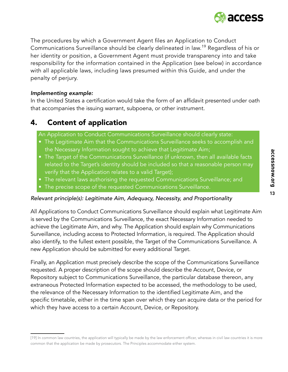

The procedures by which a Government Agent files an Application to Conduct Communications Surveillance should be clearly delineated in law.<sup>19</sup> Regardless of his or her identity or position, a Government Agent must provide transparency into and take responsibility for the information contained in the Application (see below) in accordance with all applicable laws, including laws presumed within this Guide, and under the penalty of perjury.

#### *Implementing example:*

In the United States a certification would take the form of an affidavit presented under oath that accompanies the issuing warrant, subpoena, or other instrument.

# 4. Content of application

An Application to Conduct Communications Surveillance should clearly state:

- The Legitimate Aim that the Communications Surveillance seeks to accomplish and the Necessary Information sought to achieve that Legitimate Aim;
- The Target of the Communications Surveillance (if unknown, then all available facts related to the Target's identity should be included so that a reasonable person may verify that the Application relates to a valid Target);
- The relevant laws authorising the requested Communications Surveillance; and
- The precise scope of the requested Communications Surveillance.

#### *Relevant principle(s): Legitimate Aim, Adequacy, Necessity, and Proportionality*

All Applications to Conduct Communications Surveillance should explain what Legitimate Aim is served by the Communications Surveillance, the exact Necessary Information needed to achieve the Legitimate Aim, and why. The Application should explain why Communications Surveillance, including access to Protected Information, is required. The Application should also identify, to the fullest extent possible, the Target of the Communications Surveillance. A new Application should be submitted for every additional Target.

Finally, an Application must precisely describe the scope of the Communications Surveillance requested. A proper description of the scope should describe the Account, Device, or Repository subject to Communications Surveillance, the particular database thereon, any extraneous Protected Information expected to be accessed, the methodology to be used, the relevance of the Necessary Information to the identified Legitimate Aim, and the specific timetable, either in the time span over which they can acquire data or the period for which they have access to a certain Account, Device, or Repository.

<sup>[19]</sup> In common law countries, the application will typically be made by the law enforcement officer, whereas in civil law countries it is more common that the application be made by prosecutors. The Principles accommodate either system.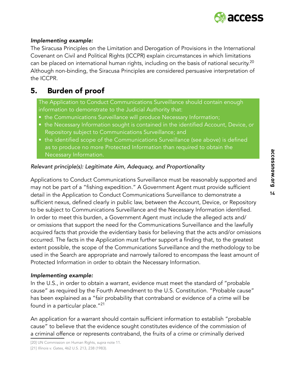

#### *Implementing example:*

The Siracusa Principles on the Limitation and Derogation of Provisions in the International Covenant on Civil and Political Rights (ICCPR) explain circumstances in which limitations can be placed on international human rights, including on the basis of national security.<sup>20</sup> Although non-binding, the Siracusa Principles are considered persuasive interpretation of the ICCPR.

# 5. Burden of proof

The Application to Conduct Communications Surveillance should contain enough information to demonstrate to the Judicial Authority that:

- the Communications Surveillance will produce Necessary Information;
- the Necessary Information sought is contained in the identified Account, Device, or Repository subject to Communications Surveillance; and
- the identified scope of the Communications Surveillance (see above) is defined as to produce no more Protected Information than required to obtain the Necessary Information.

#### *Relevant principle(s): Legitimate Aim, Adequacy, and Proportionality*

Applications to Conduct Communications Surveillance must be reasonably supported and may not be part of a "fishing expedition." A Government Agent must provide sufficient detail in the Application to Conduct Communications Surveillance to demonstrate a sufficient nexus, defined clearly in public law, between the Account, Device, or Repository to be subject to Communications Surveillance and the Necessary Information identified. In order to meet this burden, a Government Agent must include the alleged acts and/ or omissions that support the need for the Communications Surveillance and the lawfully acquired facts that provide the evidentiary basis for believing that the acts and/or omissions occurred. The facts in the Application must further support a finding that, to the greatest extent possible, the scope of the Communications Surveillance and the methodology to be used in the Search are appropriate and narrowly tailored to encompass the least amount of Protected Information in order to obtain the Necessary Information.

#### *Implementing example:*

In the U.S., in order to obtain a warrant, evidence must meet the standard of "probable cause" as required by the Fourth Amendment to the U.S. Constitution. "Probable cause" has been explained as a "fair probability that contraband or evidence of a crime will be found in a particular place."<sup>21</sup>

An application for a warrant should contain sufficient information to establish "probable cause" to believe that the evidence sought constitutes evidence of the commission of a criminal offence or represents contraband, the fruits of a crime or criminally derived

<sup>[20]</sup> UN Commission on Human Rights, *supra* note 11.

<sup>[21]</sup> *Illinois v. Gates,* 462 U.S. 213, 238 (1983).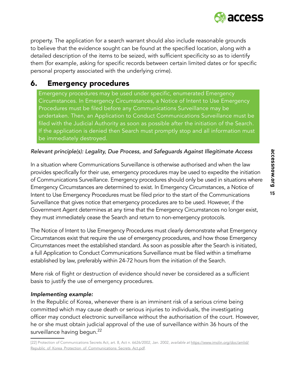

property. The application for a search warrant should also include reasonable grounds to believe that the evidence sought can be found at the specified location, along with a detailed description of the items to be seized, with sufficient specificity so as to identify them (for example, asking for specific records between certain limited dates or for specific personal property associated with the underlying crime).

# 6. Emergency procedures

Emergency procedures may be used under specific, enumerated Emergency Circumstances. In Emergency Circumstances, a Notice of Intent to Use Emergency Procedures must be filed before any Communications Surveillance may be undertaken. Then, an Application to Conduct Communications Surveillance must be filed with the Judicial Authority as soon as possible after the initiation of the Search. If the application is denied then Search must promptly stop and all information must be immediately destroyed.

#### *Relevant principle(s): Legality, Due Process, and Safeguards Against Illegitimate Access*

In a situation where Communications Surveillance is otherwise authorised and when the law provides specifically for their use, emergency procedures may be used to expedite the initiation of Communications Surveillance. Emergency procedures should only be used in situations where Emergency Circumstances are determined to exist. In Emergency Circumstances, a Notice of Intent to Use Emergency Procedures must be filed prior to the start of the Communications Surveillance that gives notice that emergency procedures are to be used. However, if the Government Agent determines at any time that the Emergency Circumstances no longer exist, they must immediately cease the Search and return to non-emergency protocols.

The Notice of Intent to Use Emergency Procedures must clearly demonstrate what Emergency Circumstances exist that require the use of emergency procedures, and how those Emergency Circumstances meet the established standard. As soon as possible after the Search is initiated, a full Application to Conduct Communications Surveillance must be filed within a timeframe established by law, preferably within 24-72 hours from the initiation of the Search.

Mere risk of flight or destruction of evidence should never be considered as a sufficient basis to justify the use of emergency procedures.

#### *Implementing example:*

In the Republic of Korea, whenever there is an imminent risk of a serious crime being committed which may cause death or serious injuries to individuals, the investigating officer may conduct electronic surveillance without the authorisation of the court. However, he or she must obtain judicial approval of the use of surveillance within 36 hours of the surveillance having begun.<sup>22</sup>

<sup>[22]</sup> Protection of Communications Secrets Act, art. 8, Act n. 6626/2002, Jan. 2002, *available at* [https://www.imolin.org/doc/amlid/](https://www.imolin.org/doc/amlid/Republic_of_Korea_Protection_of_Communications_Secrets_Act.pdf) [Republic\\_of\\_Korea\\_Protection\\_of\\_Communications\\_Secrets\\_Act.pdf](https://www.imolin.org/doc/amlid/Republic_of_Korea_Protection_of_Communications_Secrets_Act.pdf).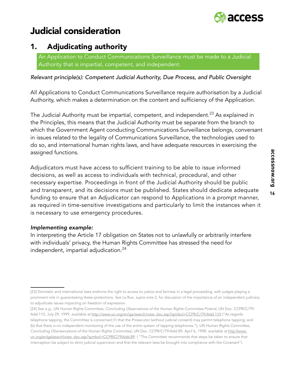

# Judicial consideration

# 1. Adjudicating authority

An Application to Conduct Communications Surveillance must be made to a Judicial Authority that is impartial, competent, and independent.

*Relevant principle(s): Competent Judicial Authority, Due Process, and Public Oversight*

All Applications to Conduct Communications Surveillance require authorisation by a Judicial Authority, which makes a determination on the content and sufficiency of the Application.

The Judicial Authority must be impartial, competent, and independent.<sup>23</sup> As explained in the Principles, this means that the Judicial Authority must be separate from the branch to which the Government Agent conducting Communications Surveillance belongs, conversant in issues related to the legality of Communications Surveillance, the technologies used to do so, and international human rights laws, and have adequate resources in exercising the assigned functions.

Adjudicators must have access to sufficient training to be able to issue informed decisions, as well as access to individuals with technical, procedural, and other necessary expertise. Proceedings in front of the Judicial Authority should be public and transparent, and its decisions must be published. States should dedicate adequate funding to ensure that an Adjudicator can respond to Applications in a prompt manner, as required in time-sensitive investigations and particularly to limit the instances when it is necessary to use emergency procedures.

#### *Implementing example:*

In interpreting the Article 17 obligation on States not to unlawfully or arbitrarily interfere with individuals' privacy, the Human Rights Committee has stressed the need for independent, impartial adjudication.<sup>24</sup>

<sup>[23]</sup> Domestic and international laws enshrine the right to access to justice and fairness in a legal proceeding, with judges playing a prominent role in guaranteeing these protections. *See* La Rue, *supra* note 2, for discussion of the importance of an independent judiciary to adjudicate issues impacting on freedom of expression.

<sup>[24]</sup> *See e.g.,* UN Human Rights Committee, *Concluding Observations of the Human Rights Committee Poland*, UN Doc. CCPR/C/79/ Add.110, July 29, 1999, *available at* [http://www.un.org/en/ga/search/view\\_doc.asp?symbol=CCPR/C/79/Add.110](http://www.un.org/en/ga/search/view_doc.asp?symbol=CCPR/C/79/Add.110) ("As regards telephone tapping, the Committee is concerned (1) that the Prosecutor (without judicial consent) may permit telephone tapping; and (b) that there is no independent monitoring of the use of the entire system of tapping telephones."); UN Human Rights Committee, *Concluding Oberservations of the Human Rights Committee*, UN Doc. CCPR/C/79/Add.89, April 6, 1998, *available at* [http:llwww.](http:llwww.un.orglenlgalsearchlview_doc.asp?symbol=CCPRlCl79lAdd.89) un.orglenlgalsearchlview\_doc.asp?symbol=CCPRICI79lAdd.89. ("The Committee recommends that steps be taken to ensure that interception be subject to strict judicial supervision and that the relevant laws be brought into compliance with the Covenant").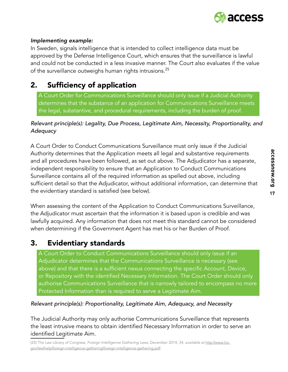

#### *Implementing example:*

In Sweden, signals intelligence that is intended to collect intelligence data must be approved by the Defense Intelligence Court, which ensures that the surveillance is lawful and could not be conducted in a less invasive manner. The Court also evaluates if the value of the surveillance outweighs human rights intrusions.<sup>25</sup>

# 2. Sufficiency of application

A Court Order for Communications Surveillance should only issue if a Judicial Authority determines that the substance of an application for Communications Surveillance meets the legal, substantive, and procedural requirements, including the burden of proof.

#### *Relevant principle(s): Legality, Due Process, Legitimate Aim, Necessity, Proportionality, and Adequacy*

A Court Order to Conduct Communications Surveillance must only issue if the Judicial Authority determines that the Application meets all legal and substantive requirements and all procedures have been followed, as set out above. The Adjudicator has a separate, independent responsibility to ensure that an Application to Conduct Communications Surveillance contains all of the required information as spelled out above, including sufficient detail so that the Adjudicator, without additional information, can determine that the evidentiary standard is satisfied (see below).

When assessing the content of the Application to Conduct Communications Surveillance, the Adjudicator must ascertain that the information it is based upon is credible and was lawfully acquired. Any information that does not meet this standard cannot be considered when determining if the Government Agent has met his or her Burden of Proof.

# 3. Evidentiary standards

A Court Order to Conduct Communications Surveillance should only issue if an Adjudicator determines that the Communications Surveillance is necessary (see above) and that there is a sufficient nexus connecting the specific Account, Device, or Repository with the identified Necessary Information. The Court Order should only authorise Communications Surveillance that is narrowly tailored to encompass no more Protected Information than is required to serve a Legitimate Aim.

#### *Relevant principle(s): Proportionality, Legitimate Aim, Adequacy, and Necessity*

The Judicial Authority may only authorise Communications Surveillance that represents the least intrusive means to obtain identified Necessary Information in order to serve an identified Legitimate Aim.

[25] The Law Library of Congress, *Foreign Intelligence Gathering Laws*, December 2014, 34, *available at* [http:llwww.loc.](http:llwww.loc.govllawlhelplforeign-intelligence-gatheringlforeign-intelligence-gathering.pdf) [govllawlhelplforeign-intelligence-gatheringlforeign-intelligence-gathering.pdf](http:llwww.loc.govllawlhelplforeign-intelligence-gatheringlforeign-intelligence-gathering.pdf).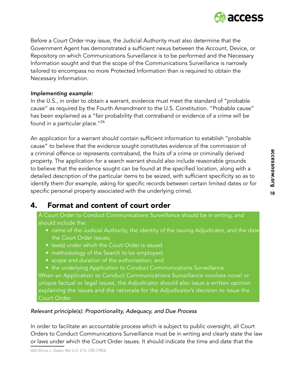

Before a Court Order may issue, the Judicial Authority must also determine that the Government Agent has demonstrated a sufficient nexus between the Account, Device, or Repository on which Communications Surveillance is to be performed and the Necessary Information sought and that the scope of the Communications Surveillance is narrowly tailored to encompass no more Protected Information than is required to obtain the Necessary Information.

#### *Implementing example:*

In the U.S., in order to obtain a warrant, evidence must meet the standard of "probable cause" as required by the Fourth Amendment to the U.S. Constitution. "Probable cause" has been explained as a "fair probability that contraband or evidence of a crime will be found in a particular place."<sup>26</sup>

An application for a warrant should contain sufficient information to establish "probable cause" to believe that the evidence sought constitutes evidence of the commission of a criminal offence or represents contraband, the fruits of a crime or criminally derived property. The application for a search warrant should also include reasonable grounds to believe that the evidence sought can be found at the specified location, along with a detailed description of the particular items to be seized, with sufficient specificity so as to identify them (for example, asking for specific records between certain limited dates or for specific personal property associated with the underlying crime).

# 4. Format and content of court order

A Court Order to Conduct Communications Surveillance should be in writing, and should include the:

- name of the Judicial Authority, the identity of the issuing Adjudicator, and the date the Court Order issues;
- law(s) under which the Court Order is issued
- methodology of the Search to be employed;
- scope and duration of the authorisation; and
- the underlying Application to Conduct Communications Surveillance

When an Application to Conduct Communications Surveillance involves novel or unique factual or legal issues, the Adjudicator should also issue a written opinion explaining the issues and the rationale for the Adjudicator's decision to issue the Court Order.

#### *Relevant principle(s): Proportionality, Adequacy, and Due Process*

In order to facilitate an accountable process which is subject to public oversight, all Court Orders to Conduct Communications Surveillance must be in writing and clearly state the law or laws under which the Court Order issues. It should indicate the time and date that the

**18accessnow.org**

18

accessnow.org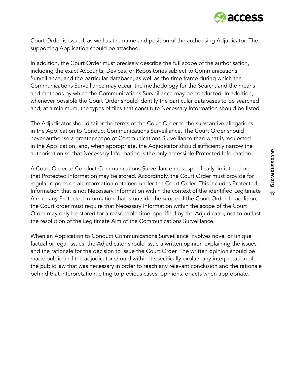

Court Order is issued, as well as the name and position of the authorising Adjudicator. The supporting Application should be attached.

In addition, the Court Order must precisely describe the full scope of the authorisation, including the exact Accounts, Devices, or Repositories subject to Communications Surveillance, and the particular database, as well as the time frame during which the Communications Surveillance may occur, the methodology for the Search, and the means and methods by which the Communications Surveillance may be conducted. In addition, whenever possible the Court Order should identify the particular databases to be searched and, at a minimum, the types of files that constitute Necessary Information should be listed.

The Adjudicator should tailor the terms of the Court Order to the substantive allegations in the Application to Conduct Communications Surveillance. The Court Order should never authorise a greater scope of Communications Surveillance than what is requested in the Application, and, when appropriate, the Adjudicator should sufficiently narrow the authorisation so that Necessary Information is the only accessible Protected Information.

A Court Order to Conduct Communications Surveillance must specifically limit the time that Protected Information may be stored. Accordingly, the Court Order must provide for regular reports on all information obtained under the Court Order. This includes Protected Information that is not Necessary Information within the context of the identified Legitimate Aim or any Protected Information that is outside the scope of the Court Order. In addition, the Court order must require that Necessary Information within the scope of the Court Order may only be stored for a reasonable time, specified by the Adjudicator, not to outlast the resolution of the Legitimate Aim of the Communications Surveillance.

When an Application to Conduct Communications Surveillance involves novel or unique factual or legal issues, the Adjudicator should issue a written opinion explaining the issues and the rationale for the decision to issue the Court Order. The written opinion should be made public and the adjudicator should within it specifically explain any interpretation of the public law that was necessary in order to reach any relevant conclusion and the rationale behind that interpretation, citing to previous cases, opinions, or acts when appropriate.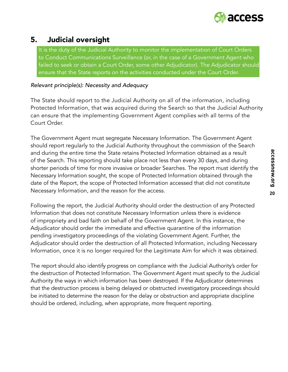

# 5. Judicial oversight

It is the duty of the Judicial Authority to monitor the implementation of Court Orders to Conduct Communications Surveillance (or, in the case of a Government Agent who failed to seek or obtain a Court Order, some other Adjudicator). The Adjudicator should ensure that the State reports on the activities conducted under the Court Order.

#### *Relevant principle(s): Necessity and Adequacy*

The State should report to the Judicial Authority on all of the information, including Protected Information, that was acquired during the Search so that the Judicial Authority can ensure that the implementing Government Agent complies with all terms of the Court Order.

The Government Agent must segregate Necessary Information. The Government Agent should report regularly to the Judicial Authority throughout the commission of the Search and during the entire time the State retains Protected Information obtained as a result of the Search. This reporting should take place not less than every 30 days, and during shorter periods of time for more invasive or broader Searches. The report must identify the Necessary Information sought, the scope of Protected Information obtained through the date of the Report, the scope of Protected Information accessed that did not constitute Necessary Information, and the reason for the access.

Following the report, the Judicial Authority should order the destruction of any Protected Information that does not constitute Necessary Information unless there is evidence of impropriety and bad faith on behalf of the Government Agent. In this instance, the Adjudicator should order the immediate and effective quarantine of the information pending investigatory proceedings of the violating Government Agent. Further, the Adjudicator should order the destruction of all Protected Information, including Necessary Information, once it is no longer required for the Legitimate Aim for which it was obtained.

The report should also identify progress on compliance with the Judicial Authority's order for the destruction of Protected Information. The Government Agent must specify to the Judicial Authority the ways in which information has been destroyed. If the Adjudicator determines that the destruction process is being delayed or obstructed investigatory proceedings should be initiated to determine the reason for the delay or obstruction and appropriate discipline should be ordered, including, when appropriate, more frequent reporting.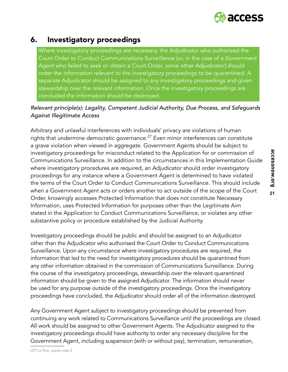

### 6. Investigatory proceedings

Where investigatory proceedings are necessary, the Adjudicator who authorised the Court Order to Conduct Communications Surveillance (or, in the case of a Government Agent who failed to seek or obtain a Court Order, some other Adjudicator) should order the information relevant to the investigatory proceedings to be quarantined. A separate Adjudicator should be assigned to any investigatory proceedings and given stewardship over the relevant information. Once the investigatory proceedings are concluded the information should be destroyed.

#### *Relevant principle(s): Legality, Competent Judicial Authority, Due Process, and Safeguards Against Illegitimate Access*

Arbitrary and unlawful interferences with individuals' privacy are violations of human rights that undermine democratic governance. $27$  Even minor interferences can constitute a grave violation when viewed in aggregate. Government Agents should be subject to investigatory proceedings for misconduct related to the Application for or commission of Communications Surveillance. In addition to the circumstances in this Implementation Guide where investigatory procedures are required, an Adjudicator should order investigatory proceedings for any instance where a Government Agent is determined to have violated the terms of the Court Order to Conduct Communications Surveillance. This should include when a Government Agent acts or orders another to act outside of the scope of the Court Order, knowingly accesses Protected Information that does not constitute Necessary Information, uses Protected Information for purposes other than the Legitimate Aim stated in the Application to Conduct Communications Surveillance, or violates any other substantive policy or procedure established by the Judicial Authority.

Investigatory proceedings should be public and should be assigned to an Adjudicator other than the Adjudicator who authorised the Court Order to Conduct Communications Surveillance. Upon any circumstance where investigatory procedures are required, the information that led to the need for investigatory procedures should be quarantined from any other information obtained in the commission of Communications Surveillance. During the course of the investigatory proceedings, stewardship over the relevant quarantined information should be given to the assigned Adjudicator. The information should never be used for any purpose outside of the investigatory proceedings. Once the investigatory proceedings have concluded, the Adjudicator should order all of the information destroyed.

Any Government Agent subject to investigatory proceedings should be prevented from continuing any work related to Communications Surveillance until the proceedings are closed. All work should be assigned to other Government Agents. The Adjudicator assigned to the investigatory proceedings should have authority to order any necessary discipline for the Government Agent, including suspension (with or without pay), termination, remuneration,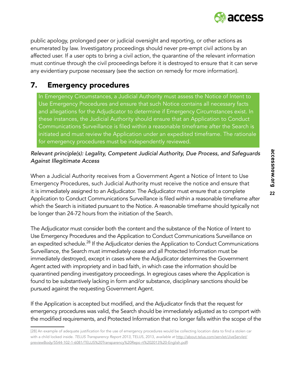

public apology, prolonged peer or judicial oversight and reporting, or other actions as enumerated by law. Investigatory proceedings should never pre-empt civil actions by an affected user. If a user opts to bring a civil action, the quarantine of the relevant information must continue through the civil proceedings before it is destroyed to ensure that it can serve any evidentiary purpose necessary (see the section on remedy for more information).

# 7. Emergency procedures

In Emergency Circumstances, a Judicial Authority must assess the Notice of Intent to Use Emergency Procedures and ensure that such Notice contains all necessary facts and allegations for the Adjudicator to determine if Emergency Circumstances exist. In these instances, the Judicial Authority should ensure that an Application to Conduct Communications Surveillance is filed within a reasonable timeframe after the Search is initiated and must review the Application under an expedited timeframe. The rationale for emergency procedures must be independently reviewed.

#### *Relevant principle(s): Legality, Competent Judicial Authority, Due Process, and Safeguards Against Illegitimate Access*

When a Judicial Authority receives from a Government Agent a Notice of Intent to Use Emergency Procedures, such Judicial Authority must receive the notice and ensure that it is immediately assigned to an Adjudicator. The Adjudicator must ensure that a complete Application to Conduct Communications Surveillance is filed within a reasonable timeframe after which the Search is initiated pursuant to the Notice. A reasonable timeframe should typically not be longer than 24-72 hours from the initiation of the Search.

The Adjudicator must consider both the content and the substance of the Notice of Intent to Use Emergency Procedures and the Application to Conduct Communications Surveillance on an expedited schedule.<sup>28</sup> If the Adjudicator denies the Application to Conduct Communications Surveillance, the Search must immediately cease and all Protected Information must be immediately destroyed, except in cases where the Adjudicator determines the Government Agent acted with impropriety and in bad faith, in which case the information should be quarantined pending investigatory proceedings. In egregious cases where the Application is found to be substantively lacking in form and/or substance, disciplinary sanctions should be pursued against the requesting Government Agent.

If the Application is accepted but modified, and the Adjudicator finds that the request for emergency procedures was valid, the Search should be immediately adjusted as to comport with the modified requirements, and Protected Information that no longer falls within the scope of the

<sup>[28]</sup> An example of adequate justification for the use of emergency procedures would be collecting location data to find a stolen car with a child locked inside. TELUS Transparency Report 2013, TELUS, 2013, *available at* [http://about.telus.com/servlet/JiveServlet/](http://about.telus.com/servlet/JiveServlet/previewBody/5544-102-1-6081/TELUS%20Transparency%20Repo r) [previewBody/5544-102-1-6081/TELUS%20Transparency%20Repo rt%202013%20-English.pdf\)](http://about.telus.com/servlet/JiveServlet/previewBody/5544-102-1-6081/TELUS%20Transparency%20Repo r)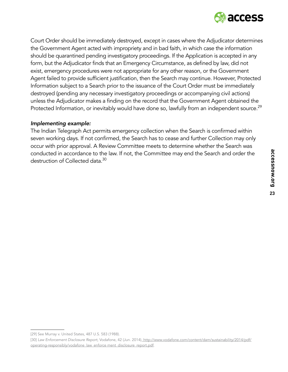

Court Order should be immediately destroyed, except in cases where the Adjudicator determines the Government Agent acted with impropriety and in bad faith, in which case the information should be quarantined pending investigatory proceedings. If the Application is accepted in any form, but the Adjudicator finds that an Emergency Circumstance, as defined by law, did not exist, emergency procedures were not appropriate for any other reason, or the Government Agent failed to provide sufficient justification, then the Search may continue. However, Protected Information subject to a Search prior to the issuance of the Court Order must be immediately destroyed (pending any necessary investigatory proceedings or accompanying civil actions) unless the Adjudicator makes a finding on the record that the Government Agent obtained the Protected Information, or inevitably would have done so, lawfully from an independent source.<sup>29</sup>

#### *Implementing example:*

The Indian Telegraph Act permits emergency collection when the Search is confirmed within seven working days. If not confirmed, the Search has to cease and further Collection may only occur with prior approval. A Review Committee meets to determine whether the Search was conducted in accordance to the law. If not, the Committee may end the Search and order the destruction of Collected data.<sup>30</sup>

<sup>[29]</sup> See Murray v. United States, 487 U.S. 583 (1988).

<sup>[30]</sup> *Law Enforcement Disclosure Report*, Vodafone, 42 (Jun. 2014), [http://www.vodafone.com/content/dam/sustainability/2014/pdf/]( http://www.vodafone.com/content/dam/sustainability/2014/pdf/operating-responsibly/vodafone_law_enfo) [operating-responsibly/vodafone\\_law\\_enforce ment\\_disclosure\\_report.pdf]( http://www.vodafone.com/content/dam/sustainability/2014/pdf/operating-responsibly/vodafone_law_enfo).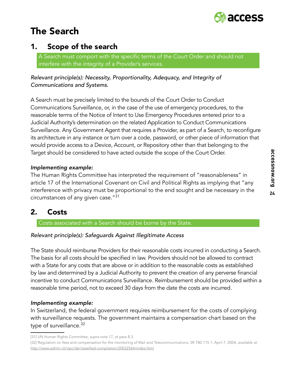# The Search



## 1. Scope of the search

A Search must comport with the specific terms of the Court Order and should not interfere with the integrity of a Provider's services.

*Relevant principle(s): Necessity, Proportionality, Adequacy, and Integrity of Communications and Systems.*

A Search must be precisely limited to the bounds of the Court Order to Conduct Communications Surveillance, or, in the case of the use of emergency procedures, to the reasonable terms of the Notice of Intent to Use Emergency Procedures entered prior to a Judicial Authority's determination on the related Application to Conduct Communications Surveillance. Any Government Agent that requires a Provider, as part of a Search, to reconfigure its architecture in any instance or turn over a code, password, or other piece of information that would provide access to a Device, Account, or Repository other than that belonging to the Target should be considered to have acted outside the scope of the Court Order.

#### *Implementing example:*

The Human Rights Committee has interpreted the requirement of "reasonableness" in article 17 of the International Covenant on Civil and Political Rights as implying that "any interference with privacy must be proportional to the end sought and be necessary in the circumstances of any given case."31

### 2. Costs

Costs associated with a Search should be borne by the State.

#### *Relevant principle(s): Safeguards Against Illegitimate Access*

The State should reimburse Providers for their reasonable costs incurred in conducting a Search. The basis for all costs should be specified in law. Providers should not be allowed to contract with a State for any costs that are above or in addition to the reasonable costs as established by law and determined by a Judicial Authority to prevent the creation of any perverse financial incentive to conduct Communications Surveillance. Reimbursement should be provided within a reasonable time period, not to exceed 30 days from the date the costs are incurred.

#### *Implementing example:*

In Switzerland, the federal government requires reimbursement for the costs of complying with surveillance requests. The government maintains a compensation chart based on the type of surveillance.<sup>32</sup>

<sup>[31]</sup> UN Human Rights Committee, *supra* note 17, at para 8.3.

<sup>[32]</sup> Regulation on fees and compensation for the monitoring of Mail and Telecommunications, SR 780.115.1, April 7, 2004, *available at* [http://www.admin.ch/opc/de/classified-compilation/20032564/index.html](http://www2.ohchr.org/english/bodies/hrcouncil/docs/13session/A-HRC-13-37.pdf)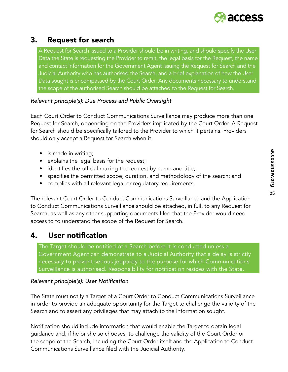

# 3. Request for search

A Request for Search issued to a Provider should be in writing, and should specify the User Data the State is requesting the Provider to remit, the legal basis for the Request, the name and contact information for the Government Agent issuing the Request for Search and the Judicial Authority who has authorised the Search, and a brief explanation of how the User Data sought is encompassed by the Court Order. Any documents necessary to understand the scope of the authorised Search should be attached to the Request for Search.

#### *Relevant principle(s): Due Process and Public Oversight*

Each Court Order to Conduct Communications Surveillance may produce more than one Request for Search, depending on the Providers implicated by the Court Order. A Request for Search should be specifically tailored to the Provider to which it pertains. Providers should only accept a Request for Search when it:

- is made in writing;
- explains the legal basis for the request;
- identifies the official making the request by name and title;
- specifies the permitted scope, duration, and methodology of the search; and
- complies with all relevant legal or regulatory requirements.

The relevant Court Order to Conduct Communications Surveillance and the Application to Conduct Communications Surveillance should be attached, in full, to any Request for Search, as well as any other supporting documents filed that the Provider would need access to to understand the scope of the Request for Search.

### 4. User notification

The Target should be notified of a Search before it is conducted unless a Government Agent can demonstrate to a Judicial Authority that a delay is strictly necessary to prevent serious jeopardy to the purpose for which Communications Surveillance is authorised. Responsibility for notification resides with the State.

#### Relevant principle(s): User Notification

The State must notify a Target of a Court Order to Conduct Communications Surveillance in order to provide an adequate opportunity for the Target to challenge the validity of the Search and to assert any privileges that may attach to the information sought.

Notification should include information that would enable the Target to obtain legal guidance and, if he or she so chooses, to challenge the validity of the Court Order or the scope of the Search, including the Court Order itself and the Application to Conduct Communications Surveillance filed with the Judicial Authority.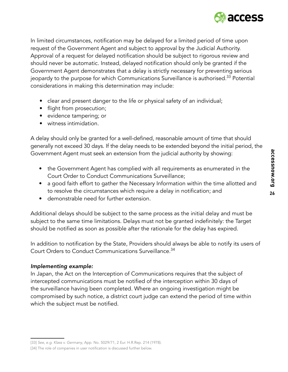

In limited circumstances, notification may be delayed for a limited period of time upon request of the Government Agent and subject to approval by the Judicial Authority. Approval of a request for delayed notification should be subject to rigorous review and should never be automatic. Instead, delayed notification should only be granted if the Government Agent demonstrates that a delay is strictly necessary for preventing serious jeopardy to the purpose for which Communications Surveillance is authorised.<sup>33</sup> Potential considerations in making this determination may include:

- clear and present danger to the life or physical safety of an individual;
- flight from prosecution;
- evidence tampering; or
- witness intimidation.

A delay should only be granted for a well-defined, reasonable amount of time that should generally not exceed 30 days. If the delay needs to be extended beyond the initial period, the Government Agent must seek an extension from the judicial authority by showing:

- the Government Agent has complied with all requirements as enumerated in the Court Order to Conduct Communications Surveillance;
- a good faith effort to gather the Necessary Information within the time allotted and to resolve the circumstances which require a delay in notification; and
- demonstrable need for further extension.

Additional delays should be subject to the same process as the initial delay and must be subject to the same time limitations. Delays must not be granted indefinitely: the Target should be notified as soon as possible after the rationale for the delay has expired.

In addition to notification by the State, Providers should always be able to notify its users of Court Orders to Conduct Communications Surveillance.<sup>34</sup>

#### *Implementing example:*

In Japan, the Act on the Interception of Communications requires that the subject of intercepted communications must be notified of the interception within 30 days of the surveillance having been completed. Where an ongoing investigation might be compromised by such notice, a district court judge can extend the period of time within which the subject must be notified.

<sup>[33]</sup> *See, e.g. Klass v. Germany*, App. No. 5029/71, 2 Eur. H.R.Rep. 214 (1978).

<sup>[34]</sup> The role of companies in user notification is discussed further below.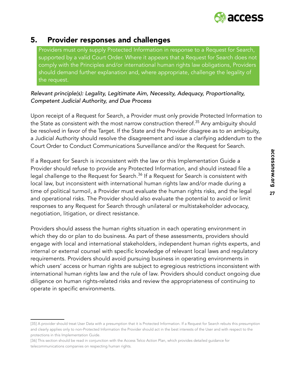

### 5. Provider responses and challenges

Providers must only supply Protected Information in response to a Request for Search, supported by a valid Court Order. Where it appears that a Request for Search does not comply with the Principles and/or international human rights law obligations, Providers should demand further explanation and, where appropriate, challenge the legality of the request.

#### *Relevant principle(s): Legality, Legitimate Aim, Necessity, Adequacy, Proportionality, Competent Judicial Authority, and Due Process*

Upon receipt of a Request for Search, a Provider must only provide Protected Information to the State as consistent with the most narrow construction thereof.<sup>35</sup> Any ambiguity should be resolved in favor of the Target. If the State and the Provider disagree as to an ambiguity, a Judicial Authority should resolve the disagreement and issue a clarifying addendum to the Court Order to Conduct Communications Surveillance and/or the Request for Search.

If a Request for Search is inconsistent with the law or this Implementation Guide a Provider should refuse to provide any Protected Information, and should instead file a legal challenge to the Request for Search.<sup>36</sup> If a Request for Search is consistent with local law, but inconsistent with international human rights law and/or made during a time of political turmoil, a Provider must evaluate the human rights risks, and the legal and operational risks. The Provider should also evaluate the potential to avoid or limit responses to any Request for Search through unilateral or multistakeholder advocacy, negotiation, litigation, or direct resistance.

Providers should assess the human rights situation in each operating environment in which they do or plan to do business. As part of these assessments, providers should engage with local and international stakeholders, independent human rights experts, and internal or external counsel with specific knowledge of relevant local laws and regulatory requirements. Providers should avoid pursuing business in operating environments in which users' access or human rights are subject to egregious restrictions inconsistent with international human rights law and the rule of law. Providers should conduct ongoing due diligence on human rights-related risks and review the appropriateness of continuing to operate in specific environments.

<sup>[35]</sup> A provider should treat User Data with a presumption that it is Protected Information. If a Request for Search rebuts this presumption and clearly applies only to non-Protected Information the Provider should act in the best interests of the User and with respect to the protections in this Implementation Guide.

<sup>[36]</sup> This section should be read in conjunction with the Access Telco Action Plan, which provides detailed guidance for telecommunications companies on respecting human rights.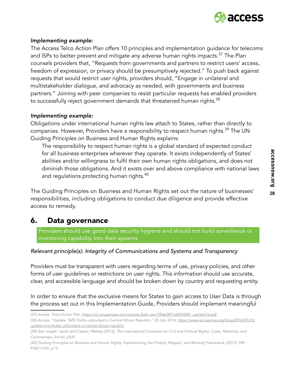

#### *Implementing example:*

The Access Telco Action Plan offers 10 principles and implementation guidance for telecoms and ISPs to better prevent and mitigate any adverse human rights impacts.<sup>37</sup> The Plan counsels providers that, "Requests from governments and partners to restrict users' access, freedom of expression, or privacy should be presumptively rejected." To push back against requests that would restrict user rights, providers should, "Engage in unilateral and multistakeholder dialogue, and advocacy as needed, with governments and business partners." Joining with peer companies to resist particular requests has enabled providers to successfully reject government demands that threatened human rights.<sup>38</sup>

#### *Implementing example:*

Obligations under international human rights law attach to States, rather than directly to companies. However, Providers have a responsibility to respect human rights.<sup>39</sup> The UN Guiding Principles on Business and Human Rights explains:

The responsibility to respect human rights is a global standard of expected conduct for all business enterprises wherever they operate. It exists independently of States' abilities and/or willingness to fulfil their own human rights obligations, and does not diminish those obligations. And it exists over and above compliance with national laws and regulations protecting human rights.<sup>40</sup>

The Guiding Principles on Business and Human Rights set out the nature of businesses' responsibilities, including obligations to conduct due diligence and provide effective access to remedy.

### 6. Data governance

Providers should use good data security hygiene and should not build surveillance or monitoring capability into their systems.

#### *Relevant principle(s): Integrity of Communications and Systems and Transparency*

Providers must be transparent with users regarding terms of use, privacy policies, and other forms of user guidelines or restrictions on user rights. This information should use accurate, clear, and accessible language and should be broken down by country and requesting entity.

In order to ensure that the exclusive means for States to gain access to User Data is through the process set out in this Implementation Guide, Providers should implement meaningful

<sup>[37]</sup> Access, *Telco Action Plan*, [https://s3.amazonaws.com/access.3cdn.net/1f9ab2891a86f3f081\\_uom6iil1w.pdf](http://www.refworld.org/docid/45139c394.html)

<sup>[38]</sup> Access, "Update: SMS finally unblocked in Central African Republic," 25 July 2014, [https://www.accessnow.org/blog/2014/07/25/](http://www.ohchr.org/EN/HRBodies/HRC/RegularSessions/Session27/Documents/A.HRC.27.37_en.pdf) [update-sms-finally-unblocked-in-central-african-republic](http://www.ohchr.org/EN/HRBodies/HRC/RegularSessions/Session27/Documents/A.HRC.27.37_en.pdf).

<sup>[39]</sup> *See* Joseph, Sarah and Castan, Melissa (2013), *The International Covenant on Civil and Political Rights: Cases, Materials, and Commentary 3rd ed, p541*.

<sup>[40]</sup> *Guiding Principles on Business and Human Rights: Implementing the Protect, Respect, and Remedy Framework*, (2011), HR/ PUB/11/04, p13.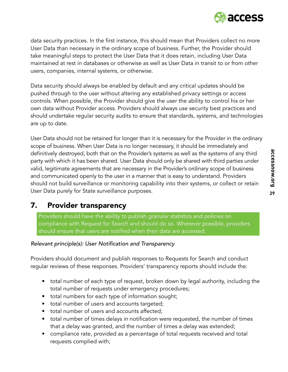

data security practices. In the first instance, this should mean that Providers collect no more User Data than necessary in the ordinary scope of business. Further, the Provider should take meaningful steps to protect the User Data that it does retain, including User Data maintained at rest in databases or otherwise as well as User Data in transit to or from other users, companies, internal systems, or otherwise.

Data security should always be enabled by default and any critical updates should be pushed through to the user without altering any established privacy settings or access controls. When possible, the Provider should give the user the ability to control his or her own data without Provider access. Providers should always use security best practices and should undertake regular security audits to ensure that standards, systems, and technologies are up to date.

User Data should not be retained for longer than it is necessary for the Provider in the ordinary scope of business. When User Data is no longer necessary, it should be immediately and definitively destroyed, both that on the Provider's systems as well as the systems of any third party with which it has been shared. User Data should only be shared with third parties under valid, legitimate agreements that are necessary in the Provider's ordinary scope of business and communicated openly to the user in a manner that is easy to understand. Providers should not build surveillance or monitoring capability into their systems, or collect or retain User Data purely for State surveillance purposes.

### 7. Provider transparency

Providers should have the ability to publish granular statistics and policies on compliance with Request for Search and should do so. Wherever possible, providers should ensure that users are notified when their data are accessed.

#### Relevant principle(s): User Notification and Transparency

Providers should document and publish responses to Requests for Search and conduct regular reviews of these responses. Providers' transparency reports should include the:

- total number of each type of request, broken down by legal authority, including the total number of requests under emergency procedures;
- total numbers for each type of information sought;
- total number of users and accounts targeted;
- total number of users and accounts affected;
- total number of times delays in notification were requested, the number of times that a delay was granted, and the number of times a delay was extended;
- compliance rate, provided as a percentage of total requests received and total requests complied with;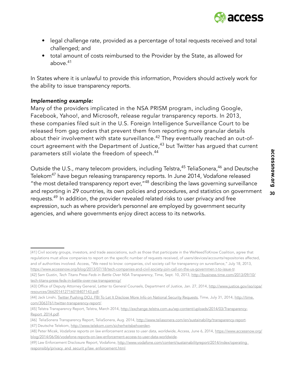

- legal challenge rate, provided as a percentage of total requests received and total challenged; and
- total amount of costs reimbursed to the Provider by the State, as allowed for above  $41$

In States where it is unlawful to provide this information, Providers should actively work for the ability to issue transparency reports.

#### *Implementing example:*

Many of the providers implicated in the NSA PRISM program, including Google, Facebook, Yahoo!, and Microsoft, release regular transparency reports. In 2013, these companies filed suit in the U.S. Foreign Intelligence Surveillance Court to be released from gag orders that prevent them from reporting more granular details about their involvement with state surveillance.<sup>42</sup> They eventually reached an out-ofcourt agreement with the Department of Justice,<sup>43</sup> but Twitter has argued that current parameters still violate the freedom of speech.<sup>44</sup>

Outside the U.S., many telecom providers, including Telstra,<sup>45</sup> TeliaSonera,<sup>46</sup> and Deutsche Telekom<sup>47</sup> have begun releasing transparency reports. In June 2014, Vodafone released "the most detailed transparency report ever,  $48$  describing the laws governing surveillance and reporting in 29 countries, its own policies and procedures, and statistics on government requests.<sup>49</sup> In addition, the provider revealed related risks to user privacy and free expression, such as where provider's personnel are employed by government security agencies, and where governments enjoy direct access to its networks.

<sup>[41]</sup> Civil society groups, investors, and trade associations, such as those that participate in the WeNeedToKnow Coalition, agree that regulations must allow companies to report on the specific number of requests received, of users/devices/accounts/repositories affected, and of authorities involved. Access, "We need to know: companies, civil society call for transparency on surveillance," July 18, 2013, [https://www.accessnow.org/blog/2013/07/18/tech-companies-and-civil-society-join-call-on-the-us-governmen t-to-issue-tr](http://www.refworld.org docid/4672bc122.html).

<sup>[42]</sup> Sam Gustin, *Tech Titans Press Feds in Battle Over NSA Transparency*, Time, Sept. 10, 2013, [http://business.time.com/2013/09/10/](http://www.refworld.org/docid/453883f922.html) [tech-titans-press-feds-in-battle-over-nsa-transparency/](http://www.refworld.org/docid/453883f922.html)

<sup>[43]</sup> Office of Deputy Attorney General, Letter to General Counsels, Department of Justice, Jan. 27, 2014, [http://www.justice.gov/iso/opa/](http://observatoriovihycarceles.org/en/hiv-and-prison-menu/jurisprudence-prison-menu.raw?task=downlo) [resources/366201412716018407143.pdf](http://observatoriovihycarceles.org/en/hiv-and-prison-menu/jurisprudence-prison-menu.raw?task=downlo).

<sup>[44]</sup> Jack Linshi, [Twitter Pushing DOJ, FBI To Let It Disclose More Info on National Security Requests,](https://scc-csc.lexum.com/scc-csc/scc-csc/en/item/1830/index) Time, July 31, 2014, [http://time.](https://www.imolin.org/doc/amlid/Republic_of_Korea_Protection_of_Communications_Secrets_Act.pdf) [com/3063761/twitter-transparency-report/](https://www.imolin.org/doc/amlid/Republic_of_Korea_Protection_of_Communications_Secrets_Act.pdf).

<sup>[45]</sup> Telstra Transparency Report, Telstra, March 2014, [http://exchange.telstra.com.au/wp-content/uploads/2014/03/Transparency-](http://www.un.org/en/ga/search/view_doc.asp?symbol=CCPR/C/79/Add.110)[Report\\_2014.pdf](http://www.un.org/en/ga/search/view_doc.asp?symbol=CCPR/C/79/Add.110).

<sup>[46]</sup> TeliaSonera Transparency Report, TeliaSonera, Aug. 2014, [http://www.teliasonera.com/en/sustainability/transparency-report](http:llwww.un.orglenlgalsearchlview_doc.asp?symbol=CCPRlCl79lAdd.89).

<sup>[47]</sup> Deutsche Telekom, [http://www.telekom.com/sicherheitsbehoerden.](http:llwww.loc.govllawlhelplforeign-intelligence-gatheringlforeign-intelligence-gathering.pdf)

<sup>[48]</sup> Peter Micek, *Vodafone reports on law enforcement access to user data, worldwide*, Access, June 6, 2014, [https://www.accessnow.org/](http://about.telus.com/servlet/JiveServlet/previewBody/5544-102-1-6081/TELUS%20Transparency%20Repo r) [blog/2014/06/06/vodafone-reports-on-law-enforcement-access-to-user-data-worldwide.](http://about.telus.com/servlet/JiveServlet/previewBody/5544-102-1-6081/TELUS%20Transparency%20Repo r)

<sup>[49]</sup> Law Enforcement Disclosure Report, Vodafone, http://www.vodafone.com/content/sustainabilityreport/2014/index/operating [responsibly/privacy\\_and\\_securit y/law\\_enforcement.html]( http://www.vodafone.com/content/dam/sustainability/2014/pdf/operating-responsibly/vodafone_law_enfo).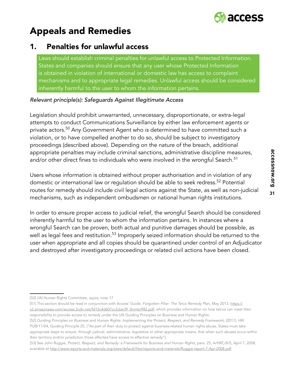

# Appeals and Remedies

### 1. Penalties for unlawful access

Laws should establish criminal penalties for unlawful access to Protected Information. States and companies should ensure that any user whose Protected Information is obtained in violation of international or domestic law has access to complaint mechanisms and to appropriate legal remedies. Unlawful access should be considered inherently harmful to the user to whom the information pertains.

#### *Relevant principle(s): Safeguards Against Illegitimate Access*

Legislation should prohibit unwarranted, unnecessary, disproportionate, or extra-legal attempts to conduct Communications Surveillance by either law enforcement agents or private actors.<sup>50</sup> Any Government Agent who is determined to have committed such a violation, or to have compelled another to do so, should be subject to investigatory proceedings (described above). Depending on the nature of the breach, additional appropriate penalties may include criminal sanctions, administrative discipline measures, and/or other direct fines to individuals who were involved in the wrongful Search.<sup>51</sup>

Users whose information is obtained without proper authorisation and in violation of any domestic or international law or regulation should be able to seek redress.<sup>52</sup> Potential routes for remedy should include civil legal actions against the State, as well as non-judicial mechanisms, such as independent ombudsmen or national human rights institutions.

In order to ensure proper access to judicial relief, the wrongful Search should be considered inherently harmful to the user to whom the information pertains. In instances where a wrongful Search can be proven, both actual and punitive damages should be possible, as well as legal fees and restitution.<sup>53</sup> Improperly seized information should be returned to the user when appropriate and all copies should be quarantined under control of an Adjudicator and destroyed after investigatory proceedings or related civil actions have been closed.

<sup>[50]</sup> UN Human Rights Committee, *supra*, note 17

<sup>[51]</sup> This section should be read in conjunction with Access' Guide, *Forgotten Pillar: The Telco Remedy Plan*, May 2013, https:// s3.amazonaws.com/access.3cdn.net/fd15c4d607cc2cbe39\_0nm6ii982.pdf, which provides information on how telcos can meet their responsibility to provide access to remedy under the UN Guiding Principles on Business and Human Rights.

<sup>[52]</sup> *Guiding Principles on Business and Human Rights: Implementing the Protect, Respect, and Remedy Framework*, (2011), HR/ PUB/11/04, Guiding Principle 25, ("As part of their duty to protect against business-related human rights abuse, States must take appropriate steps to ensure, through judicial, administrative, legislative or other appropriate means, that when such abuses occur within their territory and/or jurisdiction those affected have access to effective remedy"}.

<sup>[53]</sup> See John Ruggie, *Protect, Respect, and Remedy: a Framework for Business and Human Rights*, para. 25, A/HRC/8/5, April 7, 2008, available at http://www.reports-and-materials.org/sites/default/files/reports-and-materials/Ruggie-report-7-Apr-2008.pdf.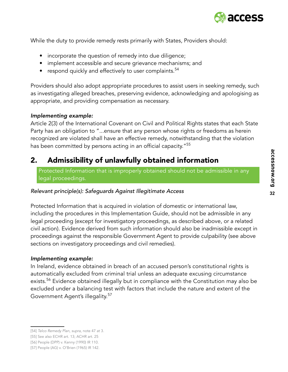

While the duty to provide remedy rests primarily with States, Providers should:

- incorporate the question of remedy into due diligence;
- implement accessible and secure grievance mechanisms; and
- respond quickly and effectively to user complaints. $54$

Providers should also adopt appropriate procedures to assist users in seeking remedy, such as investigating alleged breaches, preserving evidence, acknowledging and apologising as appropriate, and providing compensation as necessary.

#### *Implementing example:*

Article 2(3) of the International Covenant on Civil and Political Rights states that each State Party has an obligation to "...ensure that any person whose rights or freedoms as herein recognized are violated shall have an effective remedy, notwithstanding that the violation has been committed by persons acting in an official capacity."<sup>55</sup>

## 2. Admissibility of unlawfully obtained information

Protected Information that is improperly obtained should not be admissible in any legal proceedings.

#### *Relevant principle(s): Safeguards Against Illegitimate Access*

Protected Information that is acquired in violation of domestic or international law, including the procedures in this Implementation Guide, should not be admissible in any legal proceeding (except for investigatory proceedings, as described above, or a related civil action). Evidence derived from such information should also be inadmissible except in proceedings against the responsible Government Agent to provide culpability (see above sections on investigatory proceedings and civil remedies).

#### *Implementing example:*

In Ireland, evidence obtained in breach of an accused person's constitutional rights is automatically excluded from criminal trial unless an adequate excusing circumstance exists.<sup>56</sup> Evidence obtained illegally but in compliance with the Constitution may also be excluded under a balancing test with factors that include the nature and extent of the Government Agent's illegality.<sup>57</sup>

<sup>[54]</sup> *Telco Remedy Plan, supra*, note 47 at 3.

<sup>[55]</sup> See also ECHR art. 13; ACHR art. 25

<sup>[56]</sup> People (DPP) v. Kenny (1990) IR 110.

<sup>[57]</sup> People (AG) v. O'Brien (1965) IR 142.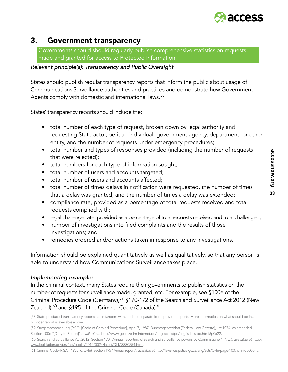

# 3. Government transparency

Governments should should regularly publish comprehensive statistics on requests made and granted for access to Protected Information.

*Relevant principle(s): Transparency and Public Oversight* 

States should publish regular transparency reports that inform the public about usage of Communications Surveillance authorities and practices and demonstrate how Government Agents comply with domestic and international laws. $^{58}$ 

States' transparency reports should include the:

- total number of each type of request, broken down by legal authority and requesting State actor, be it an individual, government agency, department, or other entity, and the number of requests under emergency procedures;
- total number and types of responses provided (including the number of requests that were rejected);
- total numbers for each type of information sought;
- total number of users and accounts targeted;
- total number of users and accounts affected;
- total number of times delays in notification were requested, the number of times that a delay was granted, and the number of times a delay was extended;
- compliance rate, provided as a percentage of total requests received and total requests complied with;
- legal challenge rate, provided as a percentage of total requests received and total challenged;
- number of investigations into filed complaints and the results of those investigations; and
- remedies ordered and/or actions taken in response to any investigations.

Information should be explained quantitatively as well as qualitatively, so that any person is able to understand how Communications Surveillance takes place.

#### *Implementing example:*

In the criminal context, many States require their governments to publish statistics on the number of requests for surveillance made, granted, etc. For example, see §100e of the Criminal Procedure Code (Germany),<sup>59</sup> §170-172 of the Search and Surveillance Act 2012 (New Zealand), $^{60}$  and §195 of the Criminal Code (Canada). $^{61}$ 

[59] Strafprozessordnung [StPO] [Code of Criminal Procedure], April 7, 1987, Bundesgesetzblatt (Federal Law Gazette), I at 1074, as amended, Section 100e "[Duty to Report]", *available at http://www.gesetze-im-internet.de/englisch\_stpo/englisch\_stpo.html#p0622*.

[61] Criminal Code (R.S.C., 1985, c. C-46), Section 195 "Annual report", *available at* http://laws-lois.justice.gc.ca/eng/acts/C-46/page-100.html#docCont..

<sup>[58]</sup> State-produced transparency reports act in tandem with, and not separate from, provider reports. More information on what should be in a provider report is available above.

<sup>[60]</sup> Search and Surveillance Act 2012, Section 170 "Annual reporting of search and surveillance powers by Commissioner" (N.Z.), *available at* http:// www.legislation.govt.nz/act/public/2012/0024/latest/DLM3330254.html.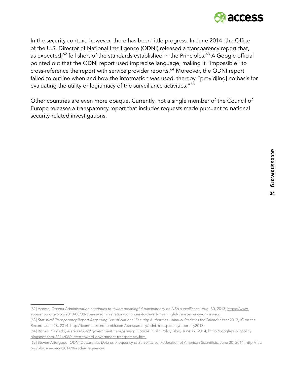

In the security context, however, there has been little progress. In June 2014, the Office of the U.S. Director of National Intelligence (ODNI) released a transparency report that, as expected, $62$  fell short of the standards established in the Principles. $63$  A Google official pointed out that the ODNI report used imprecise language, making it "impossible" to cross-reference the report with service provider reports.<sup>64</sup> Moreover, the ODNI report failed to outline when and how the information was used, thereby "provid[ing] no basis for evaluating the utility or legitimacy of the surveillance activities."<sup>65</sup>

Other countries are even more opaque. Currently, not a single member of the Council of Europe releases a transparency report that includes requests made pursuant to national security-related investigations.

<sup>[62]</sup> Access, *Obama Administration continues to thwart meaningful transparency on NSA surveillance*, Aug. 30, 2013, https://www. accessnow.org/blog/2013/08/30/obama-administration-continues-to-thwart-meaningful-transpar ency-on-nsa-sur.

<sup>[63]</sup> Statistical Transparency Report Regarding Use of National Security Authorities - Annual Statistics for Calendar Year 2013, IC on the Record, June 26, 2014, http://icontherecord.tumblr.com/transparency/odni\_transparencyreport\_cy2013.

<sup>[64]</sup> Richard Salgado, *A step toward government transparency*, Google Public Policy Blog, June 27, 2014, http://googlepublicpolicy. blogspot.com/2014/06/a-step-toward-government-transparency.html.

<sup>[65]</sup> Steven Aftergood, ODNI Declassifies Data on Frequency of Surveillance, Federation of American Scientitsts, June 30, 2014, http://fas. org/blogs/secrecy/2014/06/odni-frequency/.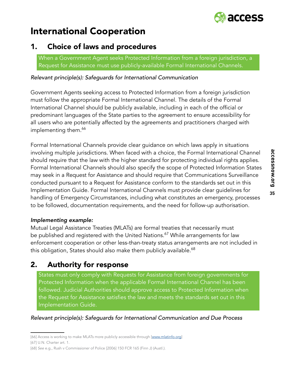

# International Cooperation

# 1. Choice of laws and procedures

When a Government Agent seeks Protected Information from a foreign jurisdiction, a Request for Assistance must use publicly-available Formal International Channels.

*Relevant principle(s): Safeguards for International Communication*

Government Agents seeking access to Protected Information from a foreign jurisdiction must follow the appropriate Formal International Channel. The details of the Formal International Channel should be publicly available, including in each of the official or predominant languages of the State parties to the agreement to ensure accessibility for all users who are potentially affected by the agreements and practitioners charged with implementing them.<sup>66</sup>

Formal International Channels provide clear guidance on which laws apply in situations involving multiple jurisdictions. When faced with a choice, the Formal International Channel should require that the law with the higher standard for protecting individual rights applies. Formal International Channels should also specify the scope of Protected Information States may seek in a Request for Assistance and should require that Communications Surveillance conducted pursuant to a Request for Assistance conform to the standards set out in this Implementation Guide. Formal International Channels must provide clear guidelines for handling of Emergency Circumstances, including what constitutes an emergency, processes to be followed, documentation requirements, and the need for follow-up authorisation.

#### *Implementing example:*

Mutual Legal Assistance Treaties (MLATs) are formal treaties that necessarily must be published and registered with the United Nations.<sup>67</sup> While arrangements for law enforcement cooperation or other less-than-treaty status arrangements are not included in this obligation, States should also make them publicly available.<sup>68</sup>

# 2. Authority for response

States must only comply with Requests for Assistance from foreign governments for Protected Information when the applicable Formal International Channel has been followed. Judicial Authorities should approve access to Protected Information when the Request for Assistance satisfies the law and meets the standards set out in this Implementation Guide.

#### *Relevant principle(s): Safeguards for International Communication and Due Process*

<sup>[66]</sup> Access is working to make MLATs more publicly accessible through [www.mlatinfo.org]

<sup>[67]</sup> U.N. Charter art. 1.

<sup>[68]</sup> *See* e.g., Rush v Commissioner of Police [2006] 150 FCR 165 (Finn J) (Austl.).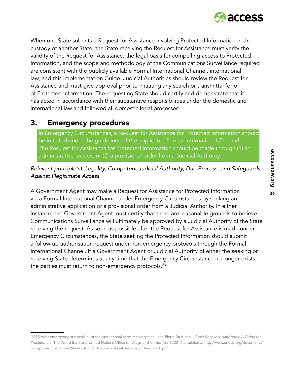

When one State submits a Request for Assistance involving Protected Information in the custody of another State, the State receiving the Request for Assistance must verify the validity of the Request for Assistance, the legal basis for compelling access to Protected Information, and the scope and methodology of the Communications Surveillance required are consistent with the publicly available Formal International Channel, international law, and this Implementation Guide. Judicial Authorities should review the Request for Assistance and must give approval prior to initiating any search or transmittal for or of Protected Information. The requesting State should certify and demonstrate that it has acted in accordance with their substantive responsibilities under the domestic and international law and followed all domestic legal processes.

## 3. Emergency procedures

In Emergency Circumstances, a Request for Assistance for Protected Information should be initiated under the guidelines of the applicable Formal International Channel. The Request for Assistance for Protected Information should be made through (1) an administrative request or (2) a provisional order from a Judicial Authority.

#### *Relevant principle(s): Legality, Competent Judicial Authority, Due Process, and Safeguards Against Illegitimate Access*

A Government Agent may make a Request for Assistance for Protected Information via a Formal International Channel under Emergency Circumstances by seeking an administrative application or a provisional order from a Judicial Authority. In either instance, the Government Agent must certify that there are reasonable grounds to believe Communications Surveillance will ultimately be approved by a Judicial Authority of the State receiving the request. As soon as possible after the Request for Assistance is made under Emergency Circumstances, the State seeking the Protected Information should submit a follow-up authorisation request under non-emergency protocols through the Formal International Channel. If a Government Agent or Judicial Authority of either the seeking or receiving State determines at any time that the Emergency Circumstance no longer exists, the parties must return to non-emergency protocols.<sup>69</sup>

<sup>[69]</sup> Similar emergency protocols exist for international asset recovery; see Jean-Pierre Brun et al., *Asset Recovery Handbook: A Guide for Practitioners*, The World Bank and United Nations Office on Drugs and Crime, 135-6, 2011, *available at* http://www.unodc.org/documents/ corruption/Publications/StAR/StAR\_Publication\_-\_Asset\_Recovery\_Handb ook.pdf.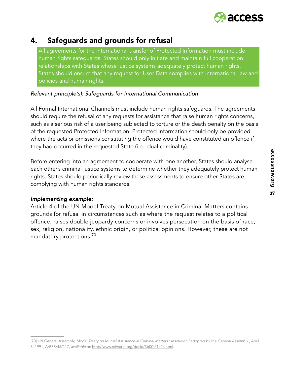

## 4. Safeguards and grounds for refusal

All agreements for the international transfer of Protected Information must include human rights safeguards. States should only initiate and maintain full cooperation relationships with States whose justice systems adequately protect human rights. States should ensure that any request for User Data complies with international law and policies and human rights.

#### *Relevant principle(s): Safeguards for International Communication*

All Formal International Channels must include human rights safeguards. The agreements should require the refusal of any requests for assistance that raise human rights concerns, such as a serious risk of a user being subjected to torture or the death penalty on the basis of the requested Protected Information. Protected Information should only be provided where the acts or omissions constituting the offence would have constituted an offence if they had occurred in the requested State (i.e., dual criminality).

Before entering into an agreement to cooperate with one another, States should analyse each other's criminal justice systems to determine whether they adequately protect human rights. States should periodically review these assessments to ensure other States are complying with human rights standards.

#### *Implementing example:*

Article 4 of the UN Model Treaty on Mutual Assistance in Criminal Matters contains grounds for refusal in circumstances such as where the request relates to a political offence, raises double jeopardy concerns or involves persecution on the basis of race, sex, religion, nationality, ethnic origin, or political opinions. However, these are not mandatory protections.<sup>70</sup>

<sup>[70]</sup> UN General Assembly, *Model Treaty on Mutual Assistance in Criminal Matters : resolution l adopted by the General Assembly*., April 3, 1991, A/RES/45/117, *available at*: http://www.refworld.org/docid/3b00f21e1c.html.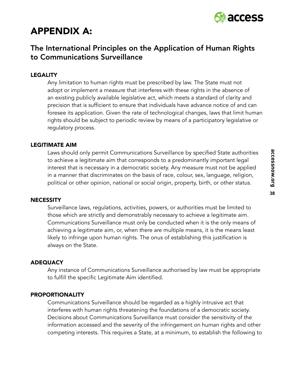

# APPENDIX A:

### The International Principles on the Application of Human Rights to Communications Surveillance

#### LEGALITY

Any limitation to human rights must be prescribed by law. The State must not adopt or implement a measure that interferes with these rights in the absence of an existing publicly available legislative act, which meets a standard of clarity and precision that is sufficient to ensure that individuals have advance notice of and can foresee its application. Given the rate of technological changes, laws that limit human rights should be subject to periodic review by means of a participatory legislative or regulatory process.

#### LEGITIMATE AIM

Laws should only permit Communications Surveillance by specified State authorities to achieve a legitimate aim that corresponds to a predominantly important legal interest that is necessary in a democratic society. Any measure must not be applied in a manner that discriminates on the basis of race, colour, sex, language, religion, political or other opinion, national or social origin, property, birth, or other status.

#### **NECESSITY**

Surveillance laws, regulations, activities, powers, or authorities must be limited to those which are strictly and demonstrably necessary to achieve a legitimate aim. Communications Surveillance must only be conducted when it is the only means of achieving a legitimate aim, or, when there are multiple means, it is the means least likely to infringe upon human rights. The onus of establishing this justification is always on the State.

#### **ADEQUACY**

Any instance of Communications Surveillance authorised by law must be appropriate to fulfill the specific Legitimate Aim identified.

#### PROPORTIONALITY

Communications Surveillance should be regarded as a highly intrusive act that interferes with human rights threatening the foundations of a democratic society. Decisions about Communications Surveillance must consider the sensitivity of the information accessed and the severity of the infringement on human rights and other competing interests. This requires a State, at a minimum, to establish the following to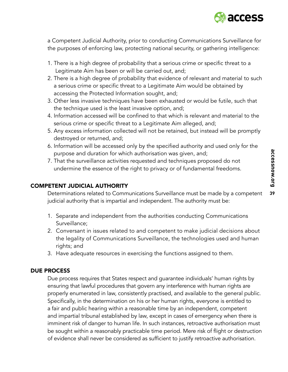

a Competent Judicial Authority, prior to conducting Communications Surveillance for the purposes of enforcing law, protecting national security, or gathering intelligence:

- 1. There is a high degree of probability that a serious crime or specific threat to a Legitimate Aim has been or will be carried out, and;
- 2. There is a high degree of probability that evidence of relevant and material to such a serious crime or specific threat to a Legitimate Aim would be obtained by accessing the Protected Information sought, and;
- 3. Other less invasive techniques have been exhausted or would be futile, such that the technique used is the least invasive option, and;
- 4. Information accessed will be confined to that which is relevant and material to the serious crime or specific threat to a Legitimate Aim alleged, and;
- 5. Any excess information collected will not be retained, but instead will be promptly destroyed or returned, and;
- 6. Information will be accessed only by the specified authority and used only for the purpose and duration for which authorisation was given, and;
- 7. That the surveillance activities requested and techniques proposed do not undermine the essence of the right to privacy or of fundamental freedoms.

#### COMPETENT JUDICIAL AUTHORITY

Determinations related to Communications Surveillance must be made by a competent judicial authority that is impartial and independent. The authority must be:

- 1. Separate and independent from the authorities conducting Communications Surveillance;
- 2. Conversant in issues related to and competent to make judicial decisions about the legality of Communications Surveillance, the technologies used and human rights; and
- 3. Have adequate resources in exercising the functions assigned to them.

#### DUE PROCESS

Due process requires that States respect and guarantee individuals' human rights by ensuring that lawful procedures that govern any interference with human rights are properly enumerated in law, consistently practised, and available to the general public. Specifically, in the determination on his or her human rights, everyone is entitled to a fair and public hearing within a reasonable time by an independent, competent and impartial tribunal established by law, except in cases of emergency when there is imminent risk of danger to human life. In such instances, retroactive authorisation must be sought within a reasonably practicable time period. Mere risk of flight or destruction of evidence shall never be considered as sufficient to justify retroactive authorisation.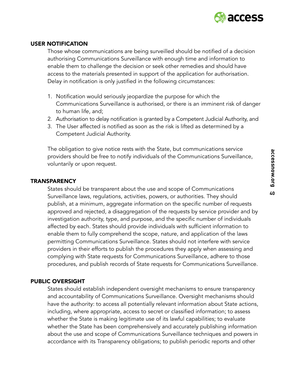

#### USER NOTIFICATION

Those whose communications are being surveilled should be notified of a decision authorising Communications Surveillance with enough time and information to enable them to challenge the decision or seek other remedies and should have access to the materials presented in support of the application for authorisation. Delay in notification is only justified in the following circumstances:

- 1. Notification would seriously jeopardize the purpose for which the Communications Surveillance is authorised, or there is an imminent risk of danger to human life, and;
- 2. Authorisation to delay notification is granted by a Competent Judicial Authority, and
- 3. The User affected is notified as soon as the risk is lifted as determined by a Competent Judicial Authority.

The obligation to give notice rests with the State, but communications service providers should be free to notify individuals of the Communications Surveillance, voluntarily or upon request.

#### **TRANSPARENCY**

States should be transparent about the use and scope of Communications Surveillance laws, regulations, activities, powers, or authorities. They should publish, at a minimum, aggregate information on the specific number of requests approved and rejected, a disaggregation of the requests by service provider and by investigation authority, type, and purpose, and the specific number of individuals affected by each. States should provide individuals with sufficient information to enable them to fully comprehend the scope, nature, and application of the laws permitting Communications Surveillance. States should not interfere with service providers in their efforts to publish the procedures they apply when assessing and complying with State requests for Communications Surveillance, adhere to those procedures, and publish records of State requests for Communications Surveillance.

#### PUBLIC OVERSIGHT

States should establish independent oversight mechanisms to ensure transparency and accountability of Communications Surveillance. Oversight mechanisms should have the authority: to access all potentially relevant information about State actions, including, where appropriate, access to secret or classified information; to assess whether the State is making legitimate use of its lawful capabilities; to evaluate whether the State has been comprehensively and accurately publishing information about the use and scope of Communications Surveillance techniques and powers in accordance with its Transparency obligations; to publish periodic reports and other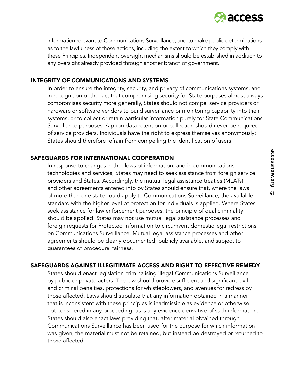

information relevant to Communications Surveillance; and to make public determinations as to the lawfulness of those actions, including the extent to which they comply with these Principles. Independent oversight mechanisms should be established in addition to any oversight already provided through another branch of government.

#### INTEGRITY OF COMMUNICATIONS AND SYSTEMS

In order to ensure the integrity, security, and privacy of communications systems, and in recognition of the fact that compromising security for State purposes almost always compromises security more generally, States should not compel service providers or hardware or software vendors to build surveillance or monitoring capability into their systems, or to collect or retain particular information purely for State Communications Surveillance purposes. A priori data retention or collection should never be required of service providers. Individuals have the right to express themselves anonymously; States should therefore refrain from compelling the identification of users.

#### SAFEGUARDS FOR INTERNATIONAL COOPERATION

In response to changes in the flows of information, and in communications technologies and services, States may need to seek assistance from foreign service providers and States. Accordingly, the mutual legal assistance treaties (MLATs) and other agreements entered into by States should ensure that, where the laws of more than one state could apply to Communications Surveillance, the available standard with the higher level of protection for individuals is applied. Where States seek assistance for law enforcement purposes, the principle of dual criminality should be applied. States may not use mutual legal assistance processes and foreign requests for Protected Information to circumvent domestic legal restrictions on Communications Surveillance. Mutual legal assistance processes and other agreements should be clearly documented, publicly available, and subject to guarantees of procedural fairness.

#### SAFEGUARDS AGAINST ILLEGITIMATE ACCESS AND RIGHT TO EFFECTIVE REMEDY

States should enact legislation criminalising illegal Communications Surveillance by public or private actors. The law should provide sufficient and significant civil and criminal penalties, protections for whistleblowers, and avenues for redress by those affected. Laws should stipulate that any information obtained in a manner that is inconsistent with these principles is inadmissible as evidence or otherwise not considered in any proceeding, as is any evidence derivative of such information. States should also enact laws providing that, after material obtained through Communications Surveillance has been used for the purpose for which information was given, the material must not be retained, but instead be destroyed or returned to those affected.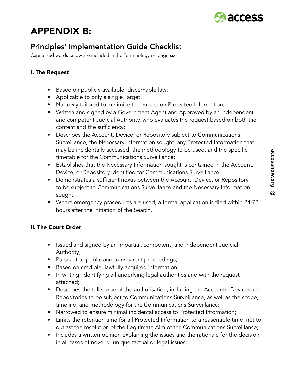

# APPENDIX B:

# Principles' Implementation Guide Checklist

Capitalised words below are included in the Terminology on page six

#### I. The Request

- Based on publicly available, discernable law;
- Applicable to only a single Target;
- Narrowly tailored to minimize the impact on Protected Information;
- Written and signed by a Government Agent and Approved by an independent and competent Judicial Authority, who evaluates the request based on both the content and the sufficiency;
- Describes the Account, Device, or Repository subject to Communications Surveillance, the Necessary Information sought, any Protected Information that may be incidentally accessed, the methodology to be used, and the specific timetable for the Communications Surveillance;
- Establishes that the Necessary Information sought is contained in the Account, Device, or Repository identified for Communications Surveillance;
- Demonstrates a sufficient nexus between the Account, Device, or Repository to be subject to Communications Surveillance and the Necessary Information sought;
- Where emergency procedures are used, a formal application is filed within 24-72 hours after the initiation of the Search.

#### II. The Court Order

- Issued and signed by an impartial, competent, and independent Judicial Authority;
- Pursuant to public and transparent proceedings;
- Based on credible, lawfully acquired information;
- In writing, identifying all underlying legal authorities and with the request attached;
- Describes the full scope of the authorisation, including the Accounts, Devices, or Repositories to be subject to Communications Surveillance, as well as the scope, timeline, and methodology for the Communications Surveillance;
- Narrowed to ensure minimal incidental access to Protected Information;
- Limits the retention time for all Protected Information to a reasonable time, not to outlast the resolution of the Legitimate Aim of the Communications Surveillance;
- Includes a written opinion explaining the issues and the rationale for the decision in all cases of novel or unique factual or legal issues;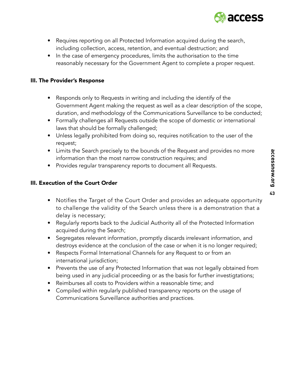- access
- Requires reporting on all Protected Information acquired during the search, including collection, access, retention, and eventual destruction; and
- In the case of emergency procedures, limits the authorisation to the time reasonably necessary for the Government Agent to complete a proper request.

#### III. The Provider's Response

- Responds only to Requests in writing and including the identify of the Government Agent making the request as well as a clear description of the scope, duration, and methodology of the Communications Surveillance to be conducted;
- Formally challenges all Requests outside the scope of domestic or international laws that should be formally challenged;
- Unless legally prohibited from doing so, requires notification to the user of the request;
- Limits the Search precisely to the bounds of the Request and provides no more information than the most narrow construction requires; and
- Provides regular transparency reports to document all Requests.

#### III. Execution of the Court Order

- Notifies the Target of the Court Order and provides an adequate opportunity to challenge the validity of the Search unless there is a demonstration that a delay is necessary;
- Regularly reports back to the Judicial Authority all of the Protected Information acquired during the Search;
- Segregates relevant information, promptly discards irrelevant information, and destroys evidence at the conclusion of the case or when it is no longer required;
- Respects Formal International Channels for any Request to or from an international jurisdiction;
- Prevents the use of any Protected Information that was not legally obtained from being used in any judicial proceeding or as the basis for further investigtations;
- Reimburses all costs to Providers within a reasonable time; and
- Compiled within regularly published transparency reports on the usage of Communications Surveillance authorities and practices.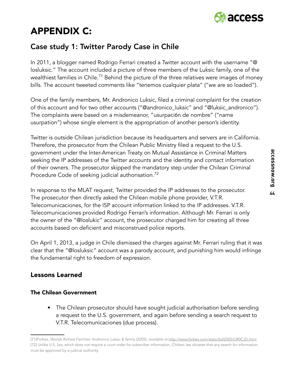

# APPENDIX C:

# Case study 1: Twitter Parody Case in Chile

In 2011, a blogger named Rodrigo Ferrari created a Twitter account with the username "@ losluksic." The account included a picture of three members of the Luksic family, one of the wealthiest families in Chile.<sup>71</sup> Behind the picture of the three relatives were images of money bills. The account tweeted comments like "tenemos cualquier plata" ("we are so loaded").

One of the family members, Mr. Andronico Luksic, filed a criminal complaint for the creation of this account and for two other accounts ("@andronico\_luksic" and "@luksic\_andronico"). The complaints were based on a misdemeanor, "usurpaci6n de nombre" ("name usurpation") whose single element is the appropriation of another person's identity.

Twitter is outside Chilean jurisdiction because its headquarters and servers are in California. Therefore, the prosecutor from the Chilean Public Ministry filed a request to the U.S. government under the Inter-American Treaty on Mutual Assistance in Criminal Matters seeking the IP addresses of the Twitter accounts and the identity and contact information of their owners. The prosecutor skipped the mandatory step under the Chilean Criminal Procedure Code of seeking judicial authorisation.<sup>72</sup>

In response to the MLAT request, Twitter provided the IP addresses to the prosecutor. The prosecutor then directly asked the Chilean mobile phone provider, V.T.R. Telecomunicaciones, for the ISP account information linked to the IP addresses. V.T.R. Telecomunicaciones provided Rodrigo Ferrari's information. Although Mr. Ferrari is only the owner of the "@loslukic" account, the prosecutor charged him for creating all three accounts based on deficient and misconstrued police reports.

On April 1, 2013, a judge in Chile dismissed the charges against Mr. Ferrari ruling that it was clear that the "@losluksic" account was a parody account, and punishing him would infringe the fundamental right to freedom of expression.

#### Lessons Learned

#### The Chilean Government

• The Chilean prosecutor should have sought judicial authorisation before sending a request to the U.S. government, and again before sending a search request to V.T.R. Telecomunicaciones (due process).

<sup>[71]</sup>Forbes, Worlds Richest Families: Andronico Luksic & family (2005), *available at* http://www.forbes.com/static/bill2005/LIR0CJD.html. [72] Unlike U.S. law, which does not require a court order for subscriber information, Chilean law dictates that any search for information must be approved by a judicial authority.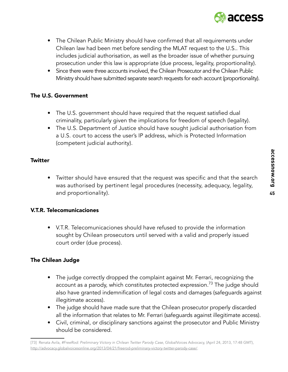

- The Chilean Public Ministry should have confirmed that all requirements under Chilean law had been met before sending the MLAT request to the U.S.. This includes judicial authorisation, as well as the broader issue of whether pursuing prosecution under this law is appropriate (due process, legality, proportionality).
- Since there were three accounts involved, the Chilean Prosecutor and the Chilean Public Ministry should have submitted separate search requests for each account (proportionality).

#### The U.S. Government

- The U.S. government should have required that the request satisfied dual criminality, particularly given the implications for freedom of speech (legality).
- The U.S. Department of Justice should have sought judicial authorisation from a U.S. court to access the user's IP address, which is Protected Information (competent judicial authority).

#### **Twitter**

• Twitter should have ensured that the request was specific and that the search was authorised by pertinent legal procedures (necessity, adequacy, legality, and proportionality).

#### V.T.R. Telecomunicaciones

• V.T.R. Telecomunicaciones should have refused to provide the information sought by Chilean prosecutors until served with a valid and properly issued court order (due process).

#### The Chilean Judge

- The judge correctly dropped the complaint against Mr. Ferrari, recognizing the account as a parody, which constitutes protected expression.<sup>73</sup> The judge should also have granted indemnification of legal costs and damages (safeguards against illegitimate access).
- The judge should have made sure that the Chilean prosecutor properly discarded all the information that relates to Mr. Ferrari (safeguards against illegitimate access).
- Civil, criminal, or disciplinary sanctions against the prosecutor and Public Ministry should be considered.

<sup>[73]</sup> Renata Avila, *#FreeRod: Preliminary Victory in Chilean Twitter Parody Case*, GlobalVoices Advocacy, (April 24, 2013, 17:48 GMT), http://advocacy.globalvoicesonline.org/2013/04/21/freerod-preliminary-victory-twitter-parody-case/.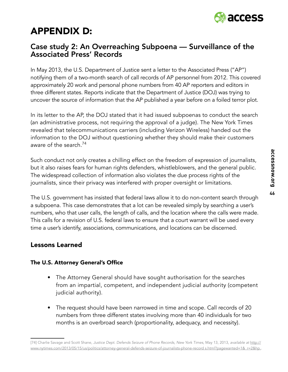

# APPENDIX D:

### Case study 2: An Overreaching Subpoena — Surveillance of the Associated Press' Records

In May 2013, the U.S. Department of Justice sent a letter to the Associated Press ("AP") notifying them of a two-month search of call records of AP personnel from 2012. This covered approximately 20 work and personal phone numbers from 40 AP reporters and editors in three different states. Reports indicate that the Department of Justice (DOJ) was trying to uncover the source of information that the AP published a year before on a foiled terror plot.

In its letter to the AP, the DOJ stated that it had issued subpoenas to conduct the search (an administrative process, not requiring the approval of a judge). The New York Times revealed that telecommunications carriers (including Verizon Wireless) handed out the information to the DOJ without questioning whether they should make their customers aware of the search.<sup>74</sup>

Such conduct not only creates a chilling effect on the freedom of expression of journalists, but it also raises fears for human rights defenders, whistleblowers, and the general public. The widespread collection of information also violates the due process rights of the journalists, since their privacy was interfered with proper oversight or limitations.

The U.S. government has insisted that federal laws allow it to do non-content search through a subpoena. This case demonstrates that a lot can be revealed simply by searching a user's numbers, who that user calls, the length of calls, and the location where the calls were made. This calls for a revision of U.S. federal laws to ensure that a court warrant will be used every time a user's identify, associations, communications, and locations can be discerned.

#### Lessons Learned

#### The U.S. Attorney General's Office

- The Attorney General should have sought authorisation for the searches from an impartial, competent, and independent judicial authority (competent judicial authority).
- The request should have been narrowed in time and scope. Call records of 20 numbers from three different states involving more than 40 individuals for two months is an overbroad search (proportionality, adequacy, and necessity).

<sup>[74]</sup> Charlie Savage and Scott Shane, Justice Dept. Defends Seizure of Phone Records, New York Times, May 13, 2013, *available at* http:// www.nytimes.com/2013/05/15/us/politics/attorney-general-defends-seizure-of-journalists-phone-record s.html?pagewanted=1&\_r=2&hp..